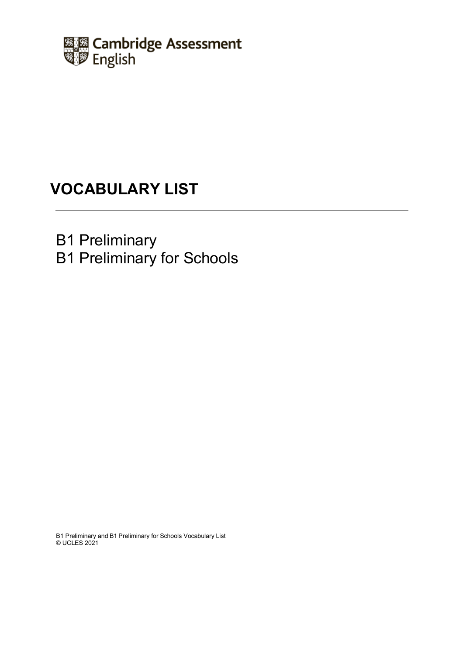

# **VOCABULARY LIST**

B1 Preliminary

B1 Preliminary for Schools

B1 Preliminary and B1 Preliminary for Schools Vocabulary List © UCLES 2021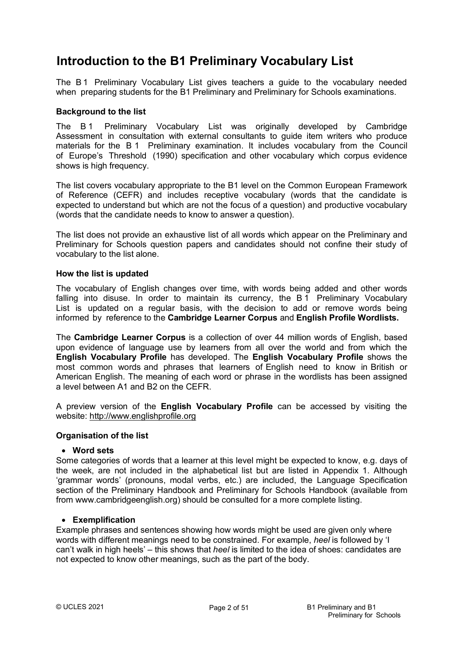## **Introduction to the B1 Preliminary Vocabulary List**

The B1 Preliminary Vocabulary List gives teachers a guide to the vocabulary needed when preparing students for the B1 Preliminary and Preliminary for Schools examinations.

### **Background to the list**

The B1 Preliminary Vocabulary List was originally developed by Cambridge Assessment in consultation with external consultants to guide item writers who produce materials for the B1 Preliminary examination. It includes vocabulary from the Council of Europe's Threshold (1990) specification and other vocabulary which corpus evidence shows is high frequency.

The list covers vocabulary appropriate to the B1 level on the Common European Framework of Reference (CEFR) and includes receptive vocabulary (words that the candidate is expected to understand but which are not the focus of a question) and productive vocabulary (words that the candidate needs to know to answer a question).

The list does not provide an exhaustive list of all words which appear on the Preliminary and Preliminary for Schools question papers and candidates should not confine their study of vocabulary to the list alone.

#### **How the list is updated**

The vocabulary of English changes over time, with words being added and other words falling into disuse. In order to maintain its currency, the B1 Preliminary Vocabulary List is updated on a regular basis, with the decision to add or remove words being informed by reference to the **Cambridge Learner Corpus** and **English Profile Wordlists.**

The **Cambridge Learner Corpus** is a collection of over 44 million words of English, based upon evidence of language use by learners from all over the world and from which the **English Vocabulary Profile** has developed. The **English Vocabulary Profile** shows the most common words and phrases that learners of English need to know in British or American English. The meaning of each word or phrase in the wordlists has been assigned a level between A1 and B2 on the CEFR.

A preview version of the **English Vocabulary Profile** can be accessed by visiting the website: [http://www.englishprofile.org](http://www.englishprofile.org/)

#### **Organisation of the list**

#### • **Word sets**

Some categories of words that a learner at this level might be expected to know, e.g. days of the week, are not included in the alphabetical list but are listed in Appendix 1. Although 'grammar words' (pronouns, modal verbs, etc.) are included, the Language Specification section of the Preliminary Handbook and Preliminary for Schools Handbook (available from from www.cambridgeenglish.org) should be consulted for a more complete listing.

#### • **Exemplification**

Example phrases and sentences showing how words might be used are given only where words with different meanings need to be constrained. For example, *heel* is followed by 'I can't walk in high heels' – this shows that *heel* is limited to the idea of shoes: candidates are not expected to know other meanings, such as the part of the body.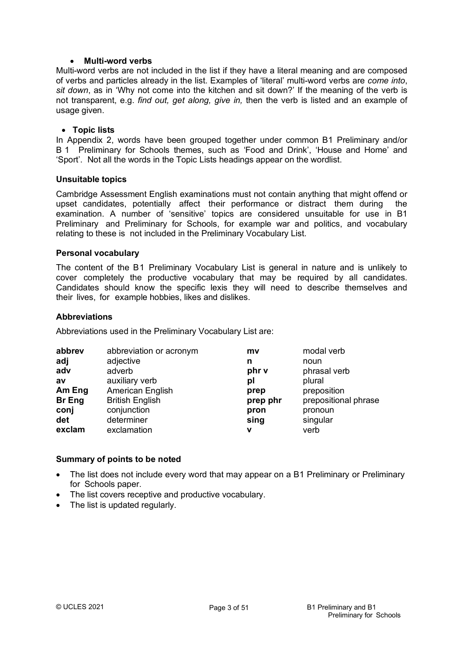### • **Multi-word verbs**

Multi-word verbs are not included in the list if they have a literal meaning and are composed of verbs and particles already in the list. Examples of 'literal' multi-word verbs are *come into*, *sit down*, as in 'Why not come into the kitchen and sit down?' If the meaning of the verb is not transparent, e.g. *find out, get along, give in,* then the verb is listed and an example of usage given.

#### • **Topic lists**

In Appendix 2, words have been grouped together under common B1 Preliminary and/or B1 Preliminary for Schools themes, such as 'Food and Drink', 'House and Home' and 'Sport'. Not all the words in the Topic Lists headings appear on the wordlist.

#### **Unsuitable topics**

Cambridge Assessment English examinations must not contain anything that might offend or upset candidates, potentially affect their performance or distract them during the examination. A number of 'sensitive' topics are considered unsuitable for use in B1 Preliminary and Preliminary for Schools, for example war and politics, and vocabulary relating to these is not included in the Preliminary Vocabulary List.

#### **Personal vocabulary**

The content of the B1 Preliminary Vocabulary List is general in nature and is unlikely to cover completely the productive vocabulary that may be required by all candidates. Candidates should know the specific lexis they will need to describe themselves and their lives, for example hobbies, likes and dislikes.

#### **Abbreviations**

Abbreviations used in the Preliminary Vocabulary List are:

| abbrev | abbreviation or acronym | mv       | modal verb           |
|--------|-------------------------|----------|----------------------|
| adj    | adjective               | n        | noun                 |
| adv    | adverb                  | phr v    | phrasal verb         |
| av     | auxiliary verb          | рI       | plural               |
| Am Eng | American English        | prep     | preposition          |
| Br Eng | <b>British English</b>  | prep phr | prepositional phrase |
| conj   | conjunction             | pron     | pronoun              |
| det    | determiner              | sing     | singular             |
| exclam | exclamation             | v        | verb                 |

### **Summary of points to be noted**

- The list does not include every word that may appear on a B1 Preliminary or Preliminary for Schools paper.
- The list covers receptive and productive vocabulary.
- The list is updated regularly.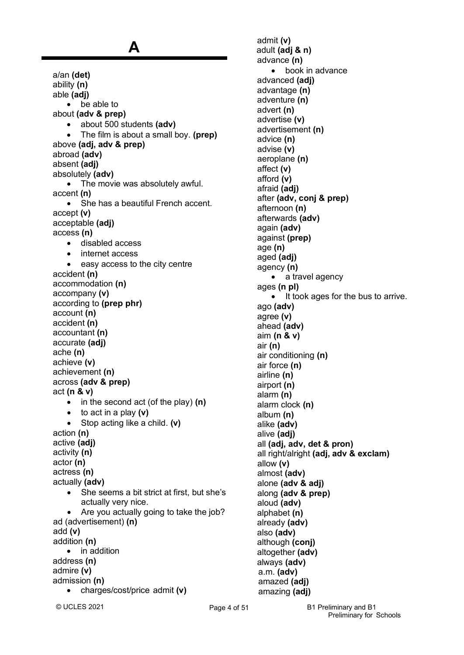a/an **(det)** ability **(n)** able **(adj)** • be able to about **(adv & prep)** • about 500 students **(adv)** • The film is about a small boy. **(prep)** above **(adj, adv & prep)** abroad **(adv)** absent **(adj)** absolutely **(adv)** The movie was absolutely awful. accent **(n)** • She has a beautiful French accent. accept **(v)** acceptable **(adj)** access **(n)** • disabled access • internet access • easy access to the city centre accident **(n)** accommodation **(n)** accompany **(v)** according to **(prep phr)** account **(n)** accident **(n)** accountant **(n)** accurate **(adj)** ache **(n)** achieve **(v)** achievement **(n)** across **(adv & prep)** act **(n & v)** • in the second act (of the play) **(n)** • to act in a play **(v)** • Stop acting like a child. **(v)** action **(n)** active **(adj)** activity **(n)** actor **(n)** actress **(n)** actually **(adv)** • She seems a bit strict at first, but she's actually very nice. • Are you actually going to take the job? ad (advertisement) **(n)** add **(v)** addition **(n)** • in addition address **(n)** admire **(v)** admission **(n)** • charges/cost/price admit **(v)**

**A**

admit **(v)** adult **(adj & n)** advance **(n)** book in advance advanced **(adj)** advantage **(n)** adventure **(n)** advert **(n)** advertise **(v)** advertisement **(n)** advice **(n)** advise **(v)** aeroplane **(n)** affect **(v)** afford **(v)** afraid **(adj)** after **(adv, conj & prep)** afternoon **(n)**  afterwards **(adv)** again **(adv)** against **(prep)** age **(n)** aged **(adj)** agency **(n)** • a travel agency ages **(n pl)** • It took ages for the bus to arrive. ago **(adv)** agree **(v)** ahead **(adv)** aim **(n & v)** air **(n)** air conditioning **(n)** air force **(n)** airline **(n)** airport **(n)** alarm **(n)** alarm clock **(n)** album **(n)** alike **(adv)** alive **(adj)** all **(adj, adv, det & pron)** all right/alright **(adj, adv & exclam)** allow **(v)** almost **(adv)** alone **(adv & adj)** along **(adv & prep)** aloud **(adv)** alphabet **(n)** already **(adv)** also **(adv)** although **(conj)** altogether **(adv)** always **(adv)** a.m. **(adv)** amazed **(adj)**  amazing **(adj)**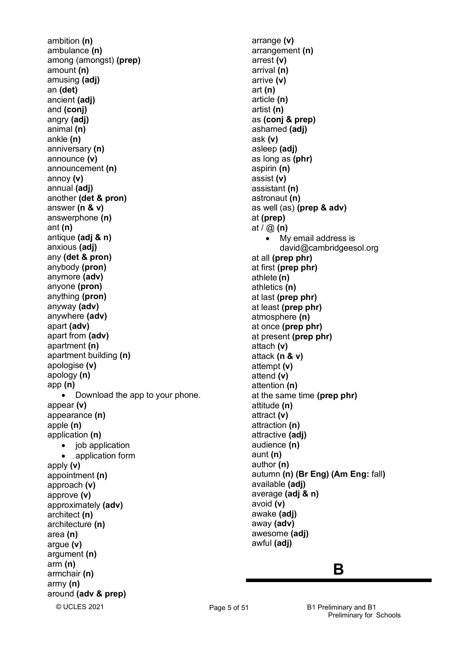© UCLES 2021 ambition **(n)**  ambulance **(n)** among (amongst) **(prep)** amount **(n)** amusing **(adj)** an **(det)** ancient **(adj)** and **(conj)** angry **(adj)** animal **(n)** ankle **(n)** anniversary **(n)** announce **(v)** announcement **(n)** annoy **(v)** annual **(adj)** another **(det & pron)** answer **(n & v)** answerphone **(n)** ant **(n)** antique **(adj & n)** anxious **(adj)** any **(det & pron)** anybody **(pron)** anymore **(adv)** anyone **(pron)** anything **(pron)** anyway **(adv)** anywhere **(adv)** apart **(adv)** apart from **(adv)** apartment **(n)** apartment building **(n)** apologise **(v)** apology **(n)** app **(n)** • Download the app to your phone. appear **(v)** appearance **(n)** apple **(n)** application **(n)** • iob application • application form apply **(v)** appointment **(n)** approach **(v)** approve **(v)** approximately **(adv)** architect **(n)** architecture **(n)** area **(n)** argue **(v)** argument **(n)** arm **(n)** armchair **(n)** army **(n)** around **(adv & prep)**

arrange **(v)** arrangement **(n)** arrest **(v)** arrival **(n)** arrive **(v)** art **(n)**  article **(n)** artist **(n)** as **(conj & prep)** ashamed **(adj)** ask **(v)** asleep **(adj)** as long as **(phr)** aspirin **(n)**  assist **(v)** assistant **(n)** astronaut **(n)** as well (as) **(prep & adv)** at **(prep)** at / @ **(n)** • My email address is [david@cambridgeesol.org](mailto:david@cambridgeesol.org) at all **(prep phr)** at first **(prep phr)** athlete **(n)** athletics **(n)** at last **(prep phr)** at least **(prep phr)** atmosphere **(n)** at once **(prep phr)** at present **(prep phr)** attach **(v)** attack **(n & v)** attempt **(v)** attend **(v)** attention **(n)** at the same time **(prep phr)** attitude **(n)** attract **(v)** attraction **(n)** attractive **(adj)** audience **(n)** aunt **(n)** author **(n)** autumn **(n) (Br Eng) (Am Eng:** fall**)** available **(adj)** average **(adj & n)** avoid **(v)** awake **(adj)** away **(adv)** awesome **(adj)** awful **(adj)**

### **B**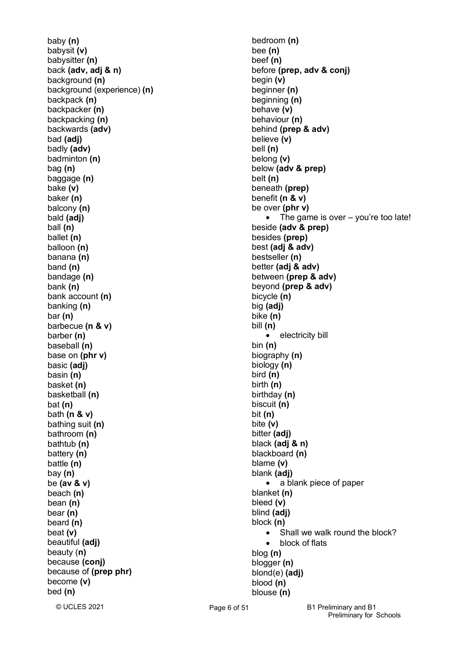baby **(n)**  babysit **(v)** babysitter **(n)** back **(adv, adj & n)** background **(n)** background (experience) **(n)** backpack **(n)** backpacker **(n)** backpacking **(n)** backwards **(adv)** bad **(adj)** badly **(adv)** badminton **(n)** bag **(n)** baggage **(n)** bake **(v)** baker **(n)** balcony **(n)** bald **(adj)** ball **(n)** ballet **(n)** balloon **(n)** banana **(n)** band **(n)** bandage **(n)** bank **(n)** bank account **(n)** banking **(n)** bar **(n)** barbecue **(n & v)** barber **(n)** baseball **(n)** base on **(phr v)** basic **(adj)** basin **(n)** basket **(n)** basketball **(n)** bat **(n)** bath **(n & v)** bathing suit **(n)** bathroom **(n)** bathtub **(n)** battery **(n)** battle **(n)** bay **(n)** be **(av & v)** beach **(n)** bean **(n)** bear **(n)** beard **(n)** beat **(v)** beautiful **(adj)** beauty (**n)** because **(conj)** because of **(prep phr)** become **(v)** bed **(n)**

bedroom **(n)** bee **(n)** beef **(n)** before **(prep, adv & conj)** begin **(v)** beginner **(n)** beginning **(n)** behave **(v)** behaviour **(n)** behind **(prep & adv)** believe **(v)** bell **(n)** belong **(v)** below **(adv & prep)** belt **(n)** beneath **(prep)** benefit **(n & v)** be over **(phr v)** The game is over  $-$  you're too late! beside **(adv & prep)** besides **(prep)** best **(adj & adv)** bestseller **(n)** better **(adj & adv)** between **(prep & adv)** beyond **(prep & adv)** bicycle **(n)** big **(adj)** bike **(n)**  bill **(n)** • electricity bill bin **(n)** biography **(n)** biology **(n)** bird **(n)** birth **(n)** birthday **(n)** biscuit **(n)** bit **(n)** bite **(v)** bitter **(adj)** black **(adj & n)** blackboard **(n)** blame **(v)** blank **(adj)** • a blank piece of paper blanket **(n)** bleed **(v)** blind **(adj)** block **(n)** • Shall we walk round the block? • block of flats blog **(n)** blogger **(n)** blond(e) **(adj)** blood **(n)** blouse **(n)**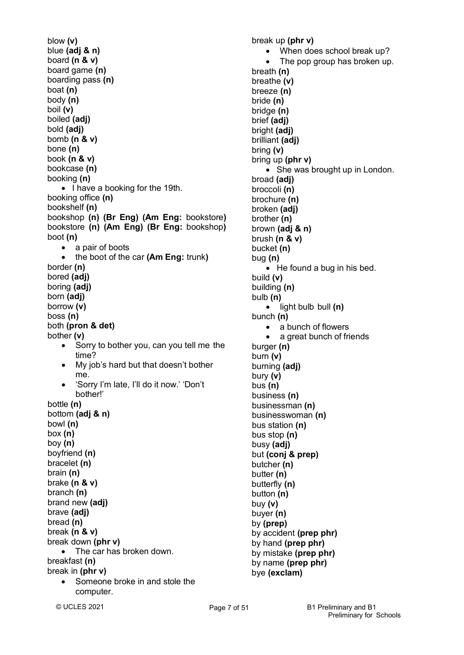blow **(v)** blue **(adj & n)** board **(n & v)** board game **(n)** boarding pass **(n)** boat **(n)** body **(n)** boil **(v)** boiled **(adj)** bold **(adj)** bomb **(n & v)** bone **(n)** book **(n & v)** bookcase **(n)** booking **(n)** • I have a booking for the 19th. booking office **(n)** bookshelf **(n)** bookshop **(n) (Br Eng) (Am Eng:** bookstore**)** bookstore **(n) (Am Eng) (Br Eng:** bookshop**)** boot **(n)** a pair of boots • the boot of the car **(Am Eng:** trunk**)** border **(n)** bored **(adj)** boring **(adj)** born **(adj)** borrow **(v)** boss **(n)** both **(pron & det)** bother **(v)** • Sorry to bother you, can you tell me the time? • My job's hard but that doesn't bother me. • 'Sorry I'm late, I'll do it now.' 'Don't bother!' bottle **(n)**  bottom **(adj & n)** bowl **(n)** box **(n)** boy **(n)** boyfriend **(n)** bracelet **(n)** brain **(n)** brake **(n & v)** branch **(n)** brand new **(adj)** brave **(adj)** bread **(n)** break **(n & v)** break down **(phr v)** • The car has broken down. breakfast **(n)** break in **(phr v)** • Someone broke in and stole the computer.

break up **(phr v)** • When does school break up? The pop group has broken up. breath **(n)** breathe **(v)** breeze **(n)** bride **(n)** bridge **(n)** brief **(adj)** bright **(adj)** brilliant **(adj)** bring **(v)** bring up **(phr v)** • She was brought up in London. broad **(adj)** broccoli **(n)** brochure **(n)** broken **(adj)** brother **(n)** brown **(adj & n)** brush **(n & v)** bucket **(n)** bug **(n)** • He found a bug in his bed. build **(v)** building **(n)** bulb **(n)** • light bulb bull **(n)** bunch **(n)** • a bunch of flowers a great bunch of friends burger **(n)** burn **(v)** burning **(adj)** bury **(v)** bus **(n)** business **(n)** businessman **(n)** businesswoman **(n)** bus station **(n)** bus stop **(n)** busy **(adj)** but **(conj & prep)** butcher **(n)** butter **(n)** butterfly **(n)** button **(n)**

buy **(v)** buyer **(n)** by **(prep)**

by accident **(prep phr)** by hand **(prep phr)** by mistake **(prep phr)** by name **(prep phr)** bye **(exclam)**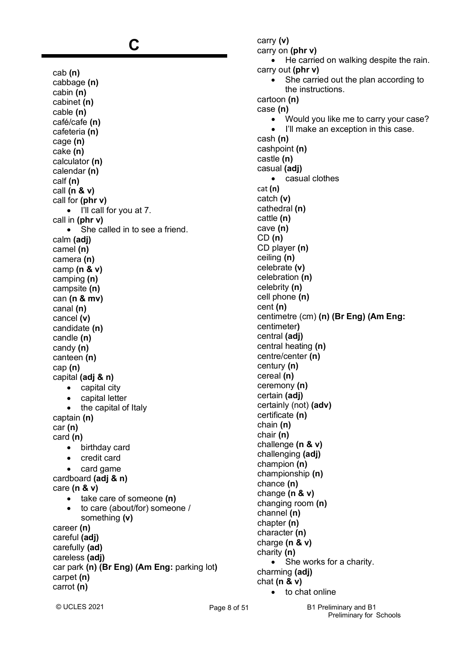# **C**

cab **(n)** cabbage **(n)** cabin **(n)** cabinet **(n)** cable **(n)** café/cafe **(n)** cafeteria **(n)** cage **(n)** cake **(n)** calculator **(n)** calendar **(n)** calf **(n)** call **(n & v)** call for **(phr v)** • I'll call for you at 7. call in **(phr v)** • She called in to see a friend. calm **(adj)** camel **(n)** camera **(n)** camp **(n & v)** camping **(n)** campsite **(n)** can **(n & mv)** canal **(n)** cancel **(v)** candidate **(n)** candle **(n)** candy **(n)** canteen **(n)** cap **(n)** capital **(adj & n)** • capital city • capital letter • the capital of Italy captain **(n)** car **(n)** card **(n)** • birthday card • credit card • card game cardboard **(adj & n)** care **(n & v)** • take care of someone **(n)** • to care (about/for) someone / something **(v)** career **(n)** careful **(adj)** carefully **(ad)** careless **(adj)** car park **(n) (Br Eng) (Am Eng:** parking lot**)** carpet **(n)** carrot **(n)**

carry **(v)** carry on **(phr v)** • He carried on walking despite the rain. carry out **(phr v)** • She carried out the plan according to the instructions. cartoon **(n)** case **(n)** • Would you like me to carry your case? I'll make an exception in this case. cash **(n)** cashpoint **(n)** castle **(n)**  casual **(adj)** • casual clothes cat **(n)** catch **(v)** cathedral **(n)**  cattle **(n)** cave **(n)** CD **(n)** CD player **(n)** ceiling **(n)** celebrate **(v)** celebration **(n)** celebrity **(n)** cell phone **(n)** cent **(n)** centimetre (cm) **(n) (Br Eng) (Am Eng:** centimeter**)** central **(adj)** central heating **(n)** centre/center **(n)** century **(n)** cereal **(n)** ceremony **(n)** certain **(adj)** certainly (not) **(adv)** certificate **(n)** chain **(n)** chair **(n)** challenge **(n & v)** challenging **(adj)** champion **(n)** championship **(n)** chance **(n)** change **(n & v)** changing room **(n)** channel **(n)** chapter **(n)** character **(n)** charge **(n & v)** charity **(n)** • She works for a charity. charming **(adj)** chat **(n & v)** to chat online

© UCLES 2021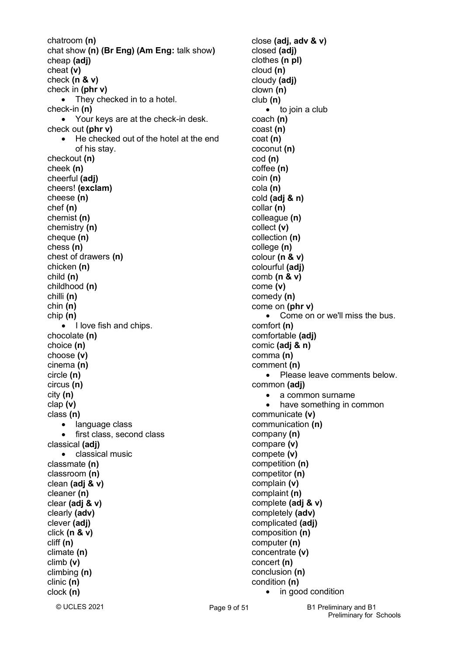© UCLES 2021 chatroom **(n)** chat show **(n) (Br Eng) (Am Eng:** talk show**)** cheap **(adj)** cheat **(v)** check **(n & v)** check in **(phr v)** • They checked in to a hotel. check-in **(n)** • Your keys are at the check-in desk. check out **(phr v)** • He checked out of the hotel at the end of his stay. checkout **(n)** cheek **(n)** cheerful **(adj)** cheers! **(exclam)** cheese **(n)** chef **(n)** chemist **(n)** chemistry **(n)** cheque **(n)** chess **(n)** chest of drawers **(n)** chicken **(n)** child **(n)** childhood **(n)** chilli **(n)** chin **(n)** chip **(n)** • I love fish and chips. chocolate **(n)** choice **(n)** choose **(v)** cinema **(n)** circle **(n)** circus **(n)** city **(n)** clap **(v)** class **(n)** • language class • first class, second class classical **(adj)** • classical music classmate **(n)** classroom **(n)** clean **(adj & v)** cleaner **(n)** clear **(adj & v)** clearly **(adv)** clever **(adj)** click **(n & v)** cliff **(n)** climate **(n)** climb **(v)** climbing **(n)** clinic **(n)** clock **(n)**

Page 9 of 51 B1 Preliminary and B1 close **(adj, adv & v)** closed **(adj)** clothes **(n pl)** cloud **(n)** cloudy **(adj)** clown **(n)** club **(n)** • to join a club coach **(n)** coast **(n)** coat **(n)** coconut **(n)** cod **(n)** coffee **(n)** coin **(n)** cola **(n)** cold **(adj & n)** collar **(n)** colleague **(n)** collect **(v)** collection **(n)** college **(n)** colour **(n & v)** colourful **(adj)** comb **(n & v)** come **(v)** comedy **(n)**  come on **(phr v)** • Come on or we'll miss the bus. comfort **(n)** comfortable **(adj)** comic **(adj & n)** comma **(n)** comment **(n)** • Please leave comments below. common **(adj)** • a common surname • have something in common communicate **(v)** communication **(n)** company **(n)** compare **(v)** compete **(v)** competition **(n)** competitor **(n)** complain **(v)** complaint **(n)** complete **(adj & v)** completely **(adv)** complicated **(adj)** composition **(n)** computer **(n)** concentrate **(v)** concert **(n)** conclusion **(n)** condition **(n)** • in good condition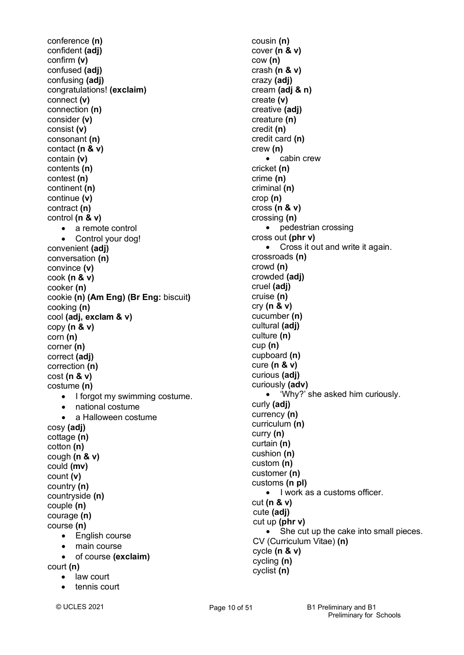conference **(n)** confident **(adj)** confirm **(v)** confused **(adj)** confusing **(adj)** congratulations! **(exclaim)** connect **(v)** connection **(n)** consider **(v)** consist **(v)** consonant **(n)** contact **(n & v)** contain **(v)** contents **(n)** contest **(n)** continent **(n)** continue **(v)** contract **(n)** control **(n & v)** • a remote control • Control your dog! convenient **(adj)** conversation **(n)** convince **(v)** cook **(n & v)** cooker **(n)** cookie **(n) (Am Eng) (Br Eng:** biscuit**)** cooking **(n)** cool **(adj, exclam & v)** copy **(n & v)** corn **(n)**  corner **(n)** correct **(adj)** correction **(n)** cost **(n & v)** costume **(n)** • I forgot my swimming costume. • national costume • a Halloween costume cosy **(adj)** cottage **(n)** cotton **(n)** cough **(n & v)** could **(mv)** count **(v)** country **(n)** countryside **(n)** couple **(n)** courage **(n)** course **(n)** • English course • main course • of course **(exclaim)** court **(n)** • law court • tennis court

cousin **(n)** cover **(n & v)** cow **(n)**  crash **(n & v)** crazy **(adj)** cream **(adj & n)** create **(v)** creative **(adj)** creature **(n)** credit **(n)** credit card **(n)** crew **(n)** • cabin crew cricket **(n)** crime **(n)** criminal **(n)** crop **(n)**  cross **(n & v)** crossing **(n)** • pedestrian crossing cross out **(phr v)** • Cross it out and write it again. crossroads **(n)** crowd **(n)** crowded **(adj)** cruel **(adj)** cruise **(n)** cry **(n & v)** cucumber **(n)** cultural **(adj)** culture **(n)** cup **(n)** cupboard **(n)** cure **(n & v)** curious **(adj)** curiously **(adv)** • 'Why?' she asked him curiously. curly **(adj)** currency **(n)** curriculum **(n)** curry **(n)** curtain **(n)** cushion **(n)** custom **(n)** customer **(n)** customs **(n pl)** • I work as a customs officer. cut **(n & v)** cute **(adj)** cut up **(phr v)** • She cut up the cake into small pieces. CV (Curriculum Vitae) **(n)** cycle **(n & v)** cycling **(n)** cyclist **(n)**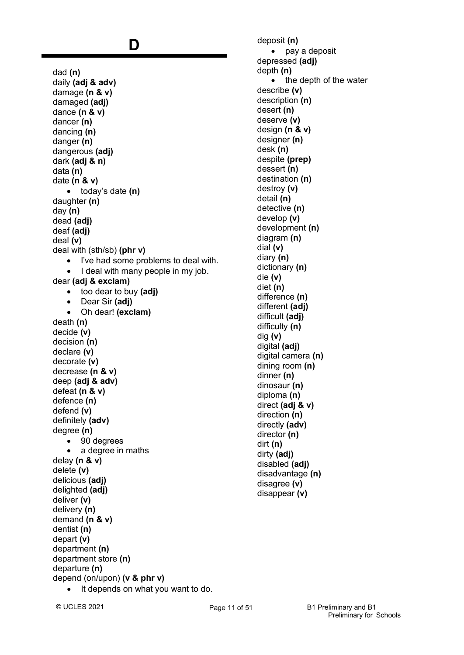## **D**

dad **(n)** daily **(adj & adv)** damage **(n & v)** damaged **(adj)** dance **(n & v)** dancer **(n)** dancing **(n)** danger **(n)** dangerous **(adj)** dark **(adj & n)** data **(n)** date **(n & v)** • today's date **(n)** daughter **(n)** day **(n)** dead **(adj)** deaf **(adj)** deal **(v)** deal with (sth/sb) **(phr v)** • I've had some problems to deal with. I deal with many people in my job. dear **(adj & exclam)** • too dear to buy **(adj)** • Dear Sir **(adj)** • Oh dear! **(exclam)** death **(n)** decide **(v)** decision **(n)** declare **(v)** decorate **(v)** decrease **(n & v)** deep **(adj & adv)** defeat **(n & v)** defence **(n)** defend **(v)** definitely **(adv)** degree **(n)** • 90 degrees • a degree in maths delay **(n & v)** delete **(v)** delicious **(adj)** delighted **(adj)** deliver **(v)** delivery **(n)** demand **(n & v)** dentist **(n)** depart **(v)** department **(n)** department store **(n)** departure **(n)** depend (on/upon) **(v & phr v)** It depends on what you want to do.

deposit **(n)** • pay a deposit depressed **(adj)** depth **(n)** • the depth of the water describe **(v)** description **(n)** desert **(n)** deserve **(v)** design **(n & v)** designer **(n)** desk **(n)** despite **(prep)** dessert **(n)** destination **(n)** destroy **(v)** detail **(n)** detective **(n)** develop **(v)** development **(n)** diagram **(n)** dial **(v)** diary **(n)** dictionary **(n)** die **(v)** diet **(n)** difference **(n)** different **(adj)** difficult **(adj)** difficulty **(n)** dig **(v)** digital **(adj)** digital camera **(n)** dining room **(n)** dinner **(n)** dinosaur **(n)** diploma **(n)**  direct **(adj & v)** direction **(n)** directly **(adv)** director **(n)** dirt **(n)** dirty **(adj)** disabled **(adj)** disadvantage **(n)** disagree **(v)** disappear **(v)**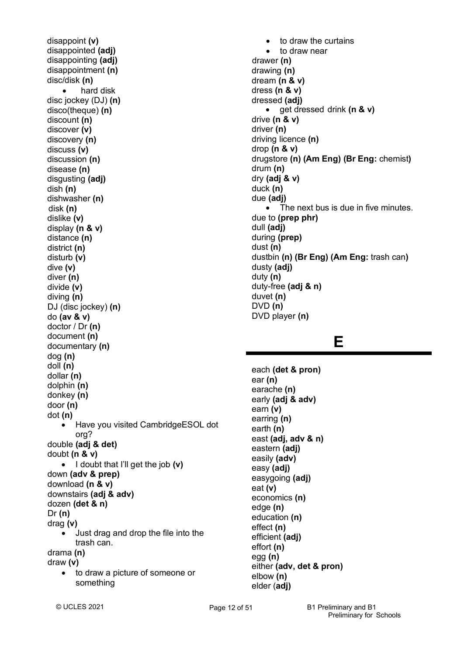disappoint **(v)** disappointed **(adj)** disappointing **(adj)** disappointment **(n)** disc/disk **(n)** • hard disk disc jockey (DJ) **(n)** disco(theque) **(n)** discount **(n)** discover **(v)** discovery **(n)** discuss **(v)** discussion **(n)** disease **(n)** disgusting **(adj)** dish **(n)** dishwasher **(n)** disk **(n)** dislike **(v)** display **(n & v)** distance **(n)** district **(n)** disturb **(v)** dive **(v)** diver **(n)** divide **(v)** diving **(n)** DJ (disc jockey) **(n)** do **(av & v)** doctor / Dr **(n)** document **(n)** documentary **(n)** dog **(n)** doll **(n)** dollar **(n)** dolphin **(n)** donkey **(n)** door **(n)** dot **(n)** • Have you visited CambridgeESOL dot org? double **(adj & det)** doubt **(n & v)** • I doubt that I'll get the job **(v)** down **(adv & prep)** download **(n & v)** downstairs **(adj & adv)** dozen **(det & n)** Dr **(n)** drag **(v)** • Just drag and drop the file into the trash can. drama **(n)** draw **(v)** • to draw a picture of someone or something

• to draw the curtains to draw near drawer **(n)** drawing **(n)** dream **(n & v)** dress **(n & v)** dressed **(adj)** • get dressed drink **(n & v)** drive **(n & v)** driver **(n)** driving licence **(n)** drop **(n & v)** drugstore **(n) (Am Eng) (Br Eng:** chemist**)** drum **(n)** dry **(adj & v)** duck **(n)** due **(adj)** • The next bus is due in five minutes. due to **(prep phr)** dull **(adj)** during **(prep)** dust **(n)** dustbin **(n) (Br Eng) (Am Eng:** trash can**)** dusty **(adj)** duty **(n)** duty-free **(adj & n)** duvet **(n)** DVD **(n)** DVD player **(n)**

### **E**

each **(det & pron)** ear **(n)** earache **(n)** early **(adj & adv)** earn **(v)** earring **(n)** earth **(n)** east **(adj, adv & n)** eastern **(adj)** easily **(adv)** easy **(adj)** easygoing **(adj)** eat **(v)** economics **(n)** edge **(n)** education **(n)** effect **(n)** efficient **(adj)** effort **(n)** egg **(n)** either **(adv, det & pron)** elbow **(n)** elder (**adj)**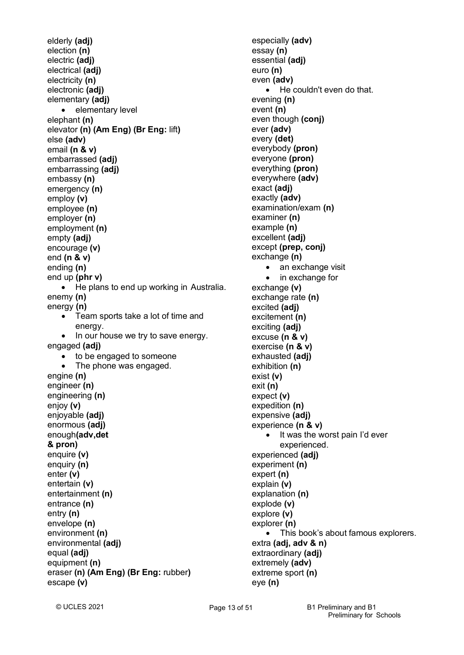```
elderly (adj)
election (n)
electric (adj)
electrical (adj)
electricity (n)
electronic (adj)
elementary (adj)
   • elementary level
elephant (n)
elevator (n) (Am Eng) (Br Eng: lift)
else (adv)
email (n & v)
embarrassed (adj)
embarrassing (adj)
embassy (n)
emergency (n)
employ (v)
employee (n)
employer (n)
employment (n)
empty (adj)
encourage (v)
end (n & v)
ending (n)
end up (phr v)
   • He plans to end up working in Australia.
enemy (n)
energy (n)
   • Team sports take a lot of time and
       energy.
   • In our house we try to save energy.
engaged (adj)
       to be engaged to someone
       The phone was engaged.
engine (n)
engineer (n)
engineering (n)
enjoy (v)
enjoyable (adj)
enormous (adj)
enough(adv,det
& pron)
enquire (v)
enquiry (n)
enter (v)
entertain (v)
entertainment (n)
entrance (n)
entry (n)
envelope (n)
environment (n)
environmental (adj)
equal (adj)
equipment (n)
eraser (n) (Am Eng) (Br Eng: rubber)
escape (v)
```
especially **(adv)** essay **(n)** essential **(adj)** euro **(n)** even **(adv)** • He couldn't even do that. evening **(n)** event **(n)** even though **(conj)** ever **(adv)** every **(det)** everybody **(pron)** everyone **(pron)** everything **(pron)** everywhere **(adv)** exact **(adj)** exactly **(adv)** examination/exam **(n)** examiner **(n)** example **(n)** excellent **(adj)** except **(prep, conj)** exchange **(n)** • an exchange visit • in exchange for exchange **(v)** exchange rate **(n)** excited **(adj)** excitement **(n)** exciting **(adj)** excuse **(n & v)** exercise **(n & v)** exhausted **(adj)** exhibition **(n)** exist **(v)** exit **(n)** expect **(v)** expedition **(n)** expensive **(adj)** experience **(n & v)** It was the worst pain I'd ever experienced. experienced **(adj)** experiment **(n)** expert **(n)** explain **(v)** explanation **(n)** explode **(v)** explore **(v)** explorer **(n)** • This book's about famous explorers. extra **(adj, adv & n)** extraordinary **(adj)** extremely **(adv)** extreme sport **(n)** eye **(n)**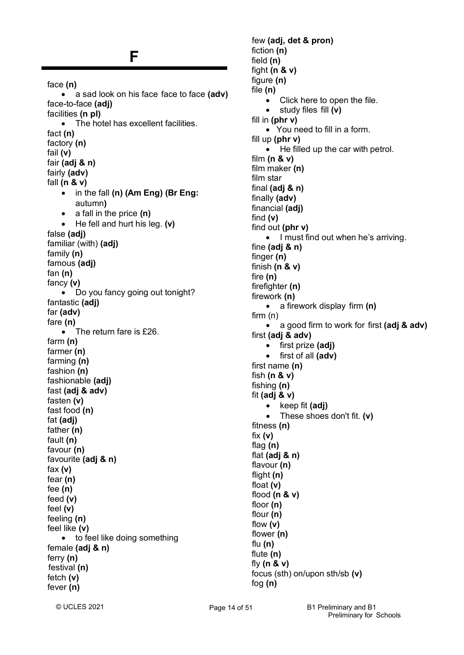### **F**

face **(n)** • a sad look on his face face to face **(adv)** face-to-face **(adj)** facilities **(n pl)** • The hotel has excellent facilities. fact **(n)** factory **(n)** fail **(v)** fair **(adj & n)** fairly **(adv)** fall **(n & v)** • in the fall **(n) (Am Eng) (Br Eng:** autumn**)** • a fall in the price **(n)** • He fell and hurt his leg. **(v)** false **(adj)** familiar (with) **(adj)** family **(n)** famous **(adj)** fan **(n)** fancy **(v)** • Do you fancy going out tonight? fantastic **(adj)** far **(adv)** fare **(n)** • The return fare is £26. farm **(n)** farmer **(n)** farming **(n)** fashion **(n)** fashionable **(adj)** fast **(adj & adv)** fasten **(v)** fast food **(n)** fat **(adj)** father **(n)** fault **(n)** favour **(n)** favourite **(adj & n)** fax **(v)** fear **(n)** fee **(n)**  feed **(v)** feel **(v)** feeling **(n)** feel like **(v)** • to feel like doing something female **(adj & n)** ferry **(n)** festival **(n)** fetch **(v)** fever **(n)**

few **(adj, det & pron)** fiction **(n)** field **(n)** fight **(n & v)** figure **(n)** file **(n)** • Click here to open the file. • study files fill **(v)** fill in **(phr v)** • You need to fill in a form. fill up **(phr v)** • He filled up the car with petrol. film **(n & v)** film maker **(n)** film star final **(adj & n)** finally **(adv)** financial **(adj)** find **(v)** find out **(phr v)** • I must find out when he's arriving. fine **(adj & n)** finger **(n)** finish **(n & v)** fire **(n)** firefighter **(n)** firework **(n)** • a firework display firm **(n)** firm (n) • a good firm to work for first **(adj & adv)** first **(adj & adv)** • first prize **(adj)** • first of all **(adv)** first name **(n)** fish **(n & v)** fishing **(n)** fit **(adj & v)** • keep fit **(adj)** • These shoes don't fit. **(v)** fitness **(n)** fix **(v)** flag **(n)** flat **(adj & n)** flavour **(n)** flight **(n)** float **(v)** flood **(n & v)** floor **(n)** flour **(n)** flow **(v)** flower **(n)** flu **(n)** flute **(n)** fly **(n & v)** focus (sth) on/upon sth/sb **(v)** fog **(n)**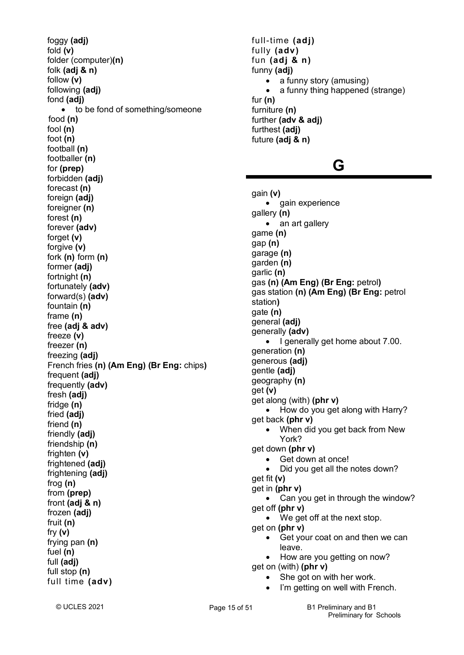foggy **(adj)** fold **(v)** folder (computer)**(n)** folk **(adj & n)** follow **(v)** following **(adj)** fond **(adj)** • to be fond of something/someone food **(n)** fool **(n)** foot **(n)** football **(n)** footballer **(n)** for **(prep)** forbidden **(adj)** forecast **(n)** foreign **(adj)** foreigner (n) forest **(n)** forever **(adv)** forget **(v)** forgive **(v)** fork **(n)** form **(n)** former **(adj)** fortnight **(n)** fortunately **(adv)** forward(s) **(adv)** fountain **(n)** frame **(n)** free **(adj & adv)** freeze **(v)** freezer **(n)** freezing **(adj)** French fries **(n) (Am Eng) (Br Eng:** chips**)** frequent **(adj)** frequently **(adv)** fresh **(adj)** fridge **(n)** fried **(adj)** friend **(n)** friendly **(adj)** friendship **(n)** frighten **(v)** frightened **(adj)** frightening **(adj)** frog **(n)** from **(prep)** front **(adj & n)** frozen **(adj)** fruit **(n)** fry **(v)** frying pan **(n)** fuel **(n)** full **(adj)** full stop **(n)** full time **(adv)**

full-time **(adj)** fully **(adv)** fun **(adj & n)** funny **(adj)** • a funny story (amusing) • a funny thing happened (strange) fur **(n)** furniture **(n)** further **(adv & adj)** furthest **(adj)** future **(adj & n)**

## **G**

gain **(v)** • gain experience gallery **(n)** • an art gallery game **(n)** gap **(n)** garage **(n)** garden **(n)** garlic **(n)** gas **(n) (Am Eng) (Br Eng:** petrol**)** gas station **(n) (Am Eng) (Br Eng:** petrol station**)** gate **(n)** general **(adj)** generally **(adv)** • I generally get home about 7.00. generation **(n)** generous **(adj)** gentle **(adj)** geography **(n)** get **(v)** get along (with) **(phr v)** • How do you get along with Harry? get back **(phr v)** • When did you get back from New York? get down **(phr v)** Get down at once! • Did you get all the notes down? get fit **(v)** get in **(phr v)** • Can you get in through the window? get off **(phr v)** • We get off at the next stop. get on **(phr v)** • Get your coat on and then we can leave. • How are you getting on now? get on (with) **(phr v)** • She got on with her work. I'm getting on well with French.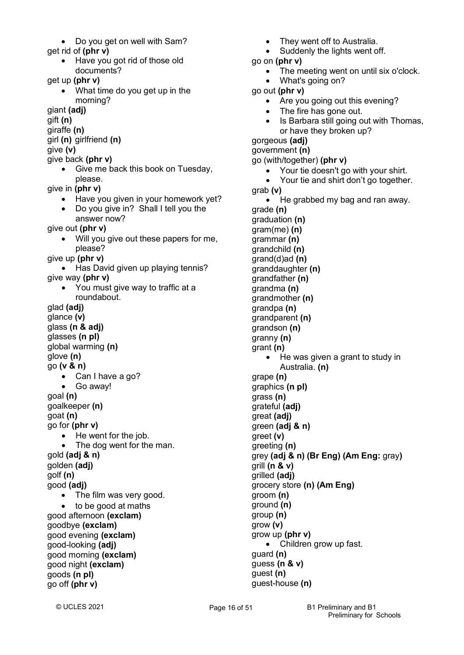- Do you get on well with Sam?
- get rid of **(phr v)**
	- Have you got rid of those old documents?

get up **(phr v)**

• What time do you get up in the morning?

giant **(adj)**

gift **(n)**

giraffe **(n)**

girl **(n)** girlfriend **(n)**

give **(v)**

- give back **(phr v)**
	- Give me back this book on Tuesday, please.

give in **(phr v)**

- Have you given in your homework yet?
- Do you give in? Shall I tell you the answer now?

give out **(phr v)**

• Will you give out these papers for me, please?

give up **(phr v)**

- Has David given up playing tennis? give way **(phr v)**
	- You must give way to traffic at a roundabout.

glad **(adj)**

glance **(v)** glass **(n & adj)** glasses **(n pl)** global warming **(n)**

glove **(n)**

- go **(v & n)**
	- Can I have a go? • Go away!
- 

goal **(n)** 

goalkeeper **(n)** goat **(n)**

go for **(phr v)**

- He went for the job.
- The dog went for the man.

gold **(adj & n)** golden **(adj)**

golf **(n)**

- good **(adj)**
	- The film was very good.

• to be good at maths

good afternoon **(exclam)** goodbye **(exclam)**

good evening **(exclam)** good-looking **(adj)** good morning **(exclam)** good night **(exclam)** goods **(n pl)** go off **(phr v)**

- They went off to Australia.
- Suddenly the lights went off.

go on **(phr v)**

- The meeting went on until six o'clock.
- What's going on?
- go out **(phr v)**
	- Are you going out this evening?
	- The fire has gone out.
	- Is Barbara still going out with Thomas, or have they broken up?

gorgeous **(adj)**

government **(n)**

go (with/together) **(phr v)**

- Your tie doesn't go with your shirt.
- Your tie and shirt don't go together.

grab **(v)**

• He grabbed my bag and ran away. grade **(n)**

graduation **(n)** gram(me) **(n)** grammar **(n)** grandchild **(n)** grand(d)ad **(n)** granddaughter **(n)** grandfather **(n)** grandma **(n)** grandmother **(n)** grandpa **(n)** grandparent **(n)** grandson **(n)** granny **(n)** grant **(n)** • He was given a grant to study in Australia. **(n)** grape **(n)** graphics **(n pl)** grass **(n)** grateful **(adj)** great **(adj)** green **(adj & n)** greet **(v)** greeting **(n)** grey **(adj & n) (Br Eng) (Am Eng:** gray**)** grill **(n & v)** grilled **(adj)** grocery store **(n) (Am Eng)** groom **(n)**

ground **(n)** group **(n)** grow **(v)**

guard **(n)** guess **(n & v)** guest **(n)**

grow up **(phr v)**

guest-house **(n)**

Children grow up fast.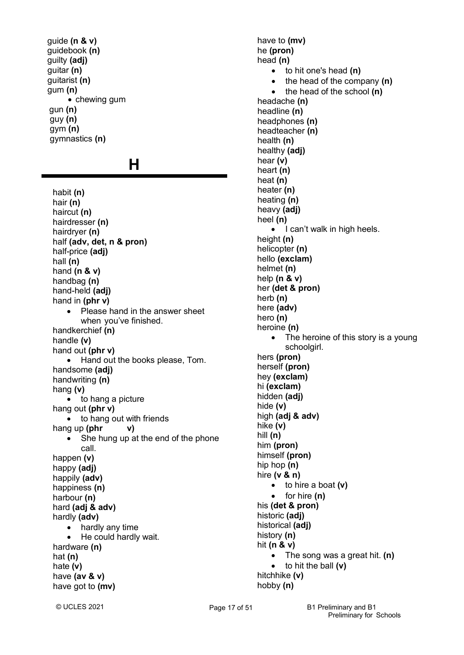guide **(n & v)** guidebook **(n)** guilty **(adj)** guitar **(n)** guitarist **(n)** gum **(n)** • chewing gum gun **(n)** guy **(n)** gym **(n)** gymnastics **(n)**

### **H**

habit **(n)** hair **(n)** haircut **(n)** hairdresser **(n)** hairdryer **(n)** half **(adv, det, n & pron)** half-price **(adj)** hall **(n)**  hand **(n & v)** handbag **(n)** hand-held **(adj)** hand in **(phr v)** • Please hand in the answer sheet when you've finished. handkerchief **(n)** handle **(v)** hand out **(phr v)** • Hand out the books please, Tom. handsome **(adj)** handwriting **(n)** hang **(v)** • to hang a picture hang out **(phr v)** • to hang out with friends hang up **(phr v)** • She hung up at the end of the phone call. happen **(v)** happy **(adj)** happily **(adv)** happiness **(n)** harbour **(n)** hard **(adj & adv)** hardly **(adv)** • hardly any time • He could hardly wait. hardware **(n)** hat **(n)** hate **(v)** have **(av & v)** have got to **(mv)**

have to **(mv)** he **(pron)** head **(n)** • to hit one's head **(n)** • the head of the company **(n)** • the head of the school **(n)** headache **(n)** headline **(n)**  headphones **(n)** headteacher **(n)** health **(n)** healthy **(adj)** hear **(v)** heart **(n)** heat **(n)** heater **(n)** heating **(n)** heavy **(adj)** heel **(n)** • I can't walk in high heels. height **(n)** helicopter **(n)** hello **(exclam)** helmet **(n)** help **(n & v)** her **(det & pron)** herb **(n)** here **(adv)** hero **(n)** heroine **(n)** • The heroine of this story is a young schoolgirl. hers **(pron)** herself **(pron)** hey **(exclam)** hi **(exclam)** hidden **(adj)** hide **(v)** high **(adj & adv)** hike **(v)** hill **(n)** him **(pron)** himself **(pron)** hip hop **(n)** hire **(v & n)** • to hire a boat **(v)** • for hire **(n)** his **(det & pron)** historic **(adj)** historical **(adj)** history **(n)** hit **(n & v)** • The song was a great hit. **(n)** • to hit the ball **(v)** hitchhike **(v)** hobby **(n)**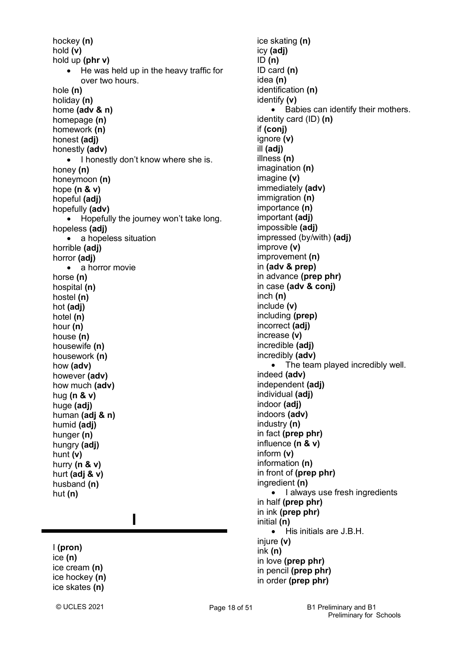hockey **(n)** hold **(v)** hold up **(phr v)** • He was held up in the heavy traffic for over two hours. hole **(n)** holiday **(n)** home **(adv & n)** homepage **(n)** homework **(n)** honest **(adj)** honestly **(adv)** • I honestly don't know where she is. honey **(n)** honeymoon **(n)** hope **(n & v)** hopeful **(adj)** hopefully **(adv)** • Hopefully the journey won't take long. hopeless **(adj)** • a hopeless situation horrible **(adj)** horror **(adj)** • a horror movie horse **(n)** hospital **(n)** hostel **(n)** hot **(adj)** hotel **(n)** hour **(n)** house **(n)** housewife **(n)** housework **(n)** how **(adv)** however **(adv)** how much **(adv)** hug **(n & v)** huge **(adj)** human **(adj & n)** humid **(adj)** hunger **(n)** hungry **(adj)** hunt **(v)** hurry **(n & v)** hurt **(adj & v)** husband **(n)** hut **(n)**

**I**

## I **(pron)**

ice **(n)** ice cream **(n)** ice hockey **(n)**  ice skates **(n)**

ice skating **(n)** icy **(adj)** ID **(n)** ID card **(n)** idea **(n)** identification **(n)** identify **(v)** • Babies can identify their mothers. identity card (ID) **(n)** if **(conj)** ignore **(v)** ill **(adj)** illness **(n)** imagination **(n)** imagine **(v)** immediately **(adv)** immigration **(n)** importance **(n)** important **(adj)** impossible **(adj)** impressed (by/with) **(adj)** improve **(v)** improvement **(n)** in **(adv & prep)** in advance **(prep phr)** in case **(adv & conj)** inch **(n)** include **(v)** including **(prep)** incorrect **(adj)** increase **(v)** incredible **(adj)** incredibly **(adv)** • The team played incredibly well. indeed **(adv)** independent **(adj)** individual **(adj)** indoor **(adj)** indoors **(adv)** industry **(n)** in fact **(prep phr)** influence **(n & v)** inform **(v)** information **(n)** in front of **(prep phr)** ingredient **(n)** • I always use fresh ingredients in half **(prep phr)** in ink **(prep phr)** initial **(n)** • His initials are J.B.H. injure **(v)** ink **(n)** in love **(prep phr)** in pencil **(prep phr)** in order **(prep phr)**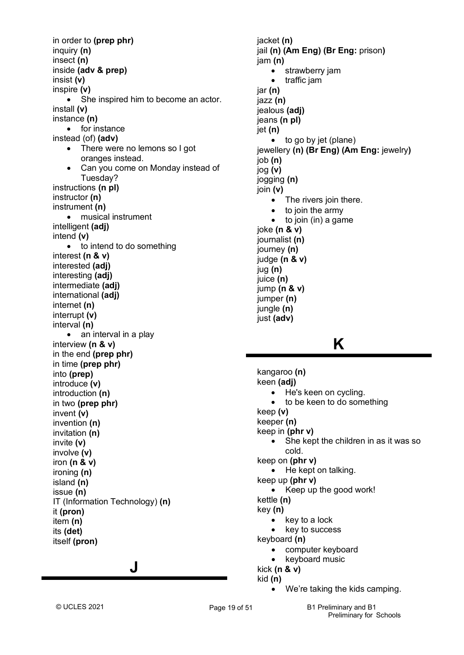in order to **(prep phr)** inquiry **(n)** insect **(n)** inside **(adv & prep)** insist **(v)** inspire **(v)** • She inspired him to become an actor. install **(v)** instance **(n)** • for instance instead (of) **(adv)** • There were no lemons so I got oranges instead. • Can you come on Monday instead of Tuesday? instructions **(n pl)** instructor **(n)** instrument **(n)** • musical instrument intelligent **(adj)** intend **(v)** • to intend to do something interest **(n & v)** interested **(adj)** interesting **(adj)** intermediate **(adj)** international **(adj)** internet **(n)** interrupt **(v)** interval **(n)** • an interval in a play interview **(n & v)** in the end **(prep phr)** in time **(prep phr)** into **(prep)** introduce **(v)** introduction **(n)** in two **(prep phr)** invent **(v)** invention **(n)** invitation **(n)** invite **(v)** involve **(v)** iron **(n & v)** ironing **(n)** island **(n)** issue **(n)** IT (Information Technology) **(n)** it **(pron)** item **(n)** its **(det)** itself **(pron)**

### **J**

jacket **(n)** jail **(n) (Am Eng) (Br Eng:** prison**)** jam **(n)** • strawberry jam • traffic jam jar **(n)** jazz **(n)** jealous **(adj)** jeans **(n pl)** jet **(n)** • to go by jet (plane) jewellery **(n) (Br Eng) (Am Eng:** jewelry**)** job **(n)** jog **(v)** jogging **(n)** join **(v)** • The rivers join there. • to join the army  $\bullet$  to join (in) a game joke **(n & v)** journalist **(n)** journey **(n)** judge **(n & v)** jug **(n)** juice **(n)** jump **(n & v)** jumper **(n)** jungle **(n)** just **(adv)**

## **K**

kangaroo **(n)** keen **(adj)** • He's keen on cycling. to be keen to do something keep **(v)** keeper **(n)** keep in **(phr v)** • She kept the children in as it was so cold. keep on **(phr v)** • He kept on talking. keep up **(phr v)** • Keep up the good work! kettle **(n)** key **(n)** • key to a lock • key to success keyboard **(n)** • computer keyboard • keyboard music kick **(n & v)** kid **(n)**

We're taking the kids camping.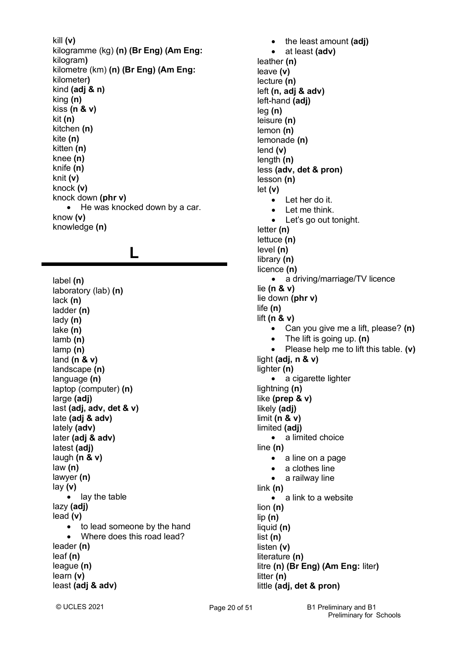kill **(v)** kilogramme (kg) **(n) (Br Eng) (Am Eng:** kilogram**)** kilometre (km) **(n) (Br Eng) (Am Eng:** kilometer**)** kind **(adj & n)** king **(n)** kiss **(n & v)** kit **(n)** kitchen **(n)** kite **(n)** kitten **(n)** knee **(n)** knife **(n)** knit **(v)** knock **(v)** knock down **(phr v)** • He was knocked down by a car. know **(v)** knowledge **(n)**

## **L**

label **(n)** laboratory (lab) **(n)** lack **(n)** ladder **(n)** lady **(n)** lake **(n)** lamb **(n)** lamp **(n)** land **(n & v)** landscape **(n)** language **(n)** laptop (computer) **(n)** large **(adj)** last **(adj, adv, det & v)** late **(adj & adv)** lately **(adv)** later **(adj & adv)** latest **(adj)** laugh **(n & v)** law **(n)** lawyer **(n)** lay **(v)** lay the table lazy **(adj)** lead **(v)** • to lead someone by the hand • Where does this road lead? leader **(n)** leaf **(n)** league **(n)** learn **(v)** least **(adj & adv)**

• the least amount **(adj)** • at least **(adv)** leather **(n)** leave **(v)** lecture **(n)** left **(n, adj & adv)** left-hand **(adj)** leg **(n)** leisure **(n)** lemon **(n)** lemonade **(n)** lend **(v)** length **(n)** less **(adv, det & pron)** lesson **(n)** let **(v)** • Let her do it. • Let me think. • Let's go out tonight. letter **(n)** lettuce **(n)** level **(n)** library **(n)** licence **(n)** • a driving/marriage/TV licence lie **(n & v)** lie down **(phr v)** life **(n)** lift **(n & v)** • Can you give me a lift, please? **(n)** • The lift is going up. **(n)** • Please help me to lift this table. **(v)** light **(adj, n & v)** lighter **(n)** • a cigarette lighter lightning **(n)** like **(prep & v)** likely **(adj)** limit **(n & v)** limited **(adj)** • a limited choice line **(n)** • a line on a page • a clothes line • a railway line link **(n)** a link to a website lion **(n)** lip **(n)** liquid **(n)** list **(n)** listen **(v)** literature **(n)** litre **(n) (Br Eng) (Am Eng:** liter**)** litter **(n)** little **(adj, det & pron)**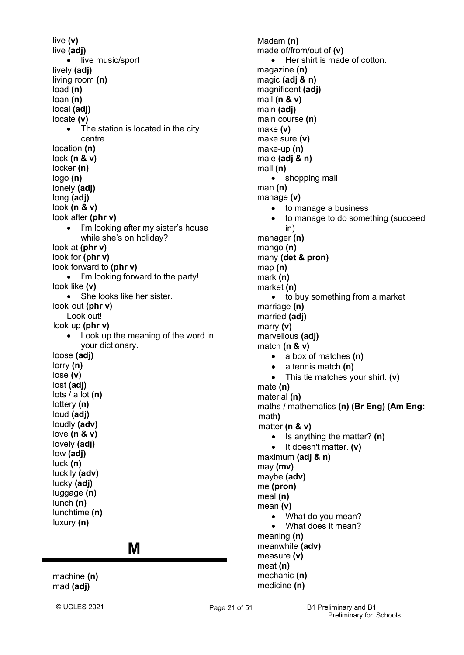live **(v)** live **(adj)** • live music/sport lively **(adj)** living room **(n)** load **(n)** loan **(n)** local **(adj)** locate **(v)** The station is located in the city centre. location **(n)** lock **(n & v)** locker **(n)** logo **(n)** lonely **(adj)** long **(adj)** look **(n & v)** look after **(phr v)** • I'm looking after my sister's house while she's on holiday? look at **(phr v)** look for **(phr v)** look forward to **(phr v)** • I'm looking forward to the party! look like **(v)** • She looks like her sister. look out **(phr v)** Look out! look up **(phr v)** • Look up the meaning of the word in your dictionary. loose **(adj)** lorry **(n)** lose **(v)** lost **(adj)** lots / a lot **(n)** lottery **(n)** loud **(adj)** loudly **(adv)** love **(n & v)** lovely **(adj)** low **(adj)** luck **(n)**  luckily **(adv)** lucky **(adj)** luggage **(n)** lunch **(n)** lunchtime **(n)** luxury **(n) M** machine **(n)**

Madam **(n)** made of/from/out of **(v)** Her shirt is made of cotton. magazine **(n)** magic **(adj & n)** magnificent **(adj)** mail **(n & v)** main **(adj)** main course **(n)** make **(v)** make sure **(v)** make-up **(n)** male **(adj & n)** mall **(n)** • shopping mall man **(n)** manage **(v)** • to manage a business • to manage to do something (succeed in) manager **(n)** mango **(n)** many **(det & pron)** map **(n)**  mark **(n)** market **(n)** • to buy something from a market marriage **(n)** married **(adj)** marry **(v)** marvellous **(adj)** match **(n & v)** • a box of matches **(n)** • a tennis match **(n)** • This tie matches your shirt. **(v)** mate **(n)** material **(n)** maths / mathematics **(n) (Br Eng) (Am Eng:** math**)** matter **(n & v)** • Is anything the matter? **(n)** • It doesn't matter. **(v)** maximum **(adj & n)** may **(mv)** maybe **(adv)** me **(pron)** meal **(n)** mean **(v)** • What do you mean? • What does it mean? meaning **(n)** meanwhile **(adv)** measure **(v)** meat **(n)** mechanic **(n)** medicine **(n)**

mad **(adj)**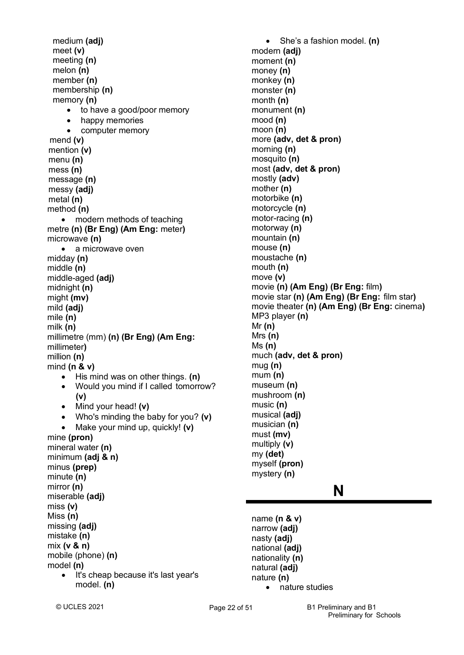medium **(adj)** meet **(v)** meeting **(n)** melon **(n)** member **(n)** membership **(n)** memory **(n)** • to have a good/poor memory happy memories • computer memory mend **(v)** mention **(v)** menu **(n)** mess **(n)**  message **(n)** messy **(adj)** metal **(n)** method **(n)** • modern methods of teaching metre **(n) (Br Eng) (Am Eng:** meter**)** microwave **(n)** • a microwave oven midday **(n)** middle **(n)** middle-aged **(adj)** midnight **(n)** might **(mv)** mild **(adj)** mile **(n)** milk **(n)** millimetre (mm) **(n) (Br Eng) (Am Eng:** millimeter**)** million **(n)** mind **(n & v)** • His mind was on other things. **(n)** • Would you mind if I called tomorrow? **(v)** • Mind your head! **(v)** • Who's minding the baby for you? **(v)** • Make your mind up, quickly! **(v)** mine **(pron)** mineral water **(n)** minimum **(adj & n)** minus **(prep)** minute **(n)** mirror **(n)** miserable **(adj)** miss **(v)** Miss **(n)** missing **(adj)** mistake **(n)** mix **(v & n)** mobile (phone) **(n)** model **(n)** It's cheap because it's last year's model. **(n)**

• She's a fashion model. **(n)** modern **(adj)** moment **(n)** money **(n)** monkey **(n)**  monster **(n)** month **(n)** monument **(n)** mood **(n)** moon **(n)** more **(adv, det & pron)** morning **(n)** mosquito **(n)** most **(adv, det & pron)** mostly **(adv)** mother **(n)** motorbike **(n)** motorcycle **(n)** motor-racing **(n)** motorway **(n)** mountain **(n)** mouse **(n)** moustache **(n)** mouth **(n)** move **(v)** movie **(n) (Am Eng) (Br Eng:** film**)** movie star **(n) (Am Eng) (Br Eng:** film star**)** movie theater **(n) (Am Eng) (Br Eng:** cinema**)** MP3 player **(n)** Mr **(n)** Mrs **(n)** Ms **(n)** much **(adv, det & pron)** mug **(n)** mum **(n)** museum **(n)** mushroom **(n)** music **(n)** musical **(adj)** musician **(n)** must **(mv)** multiply **(v)** my **(det)** myself **(pron)** mystery **(n)**

### **N**

name **(n & v)** narrow **(adj)** nasty **(adj)** national **(adj)** nationality **(n)** natural **(adj)** nature **(n)** • nature studies

© UCLES 2021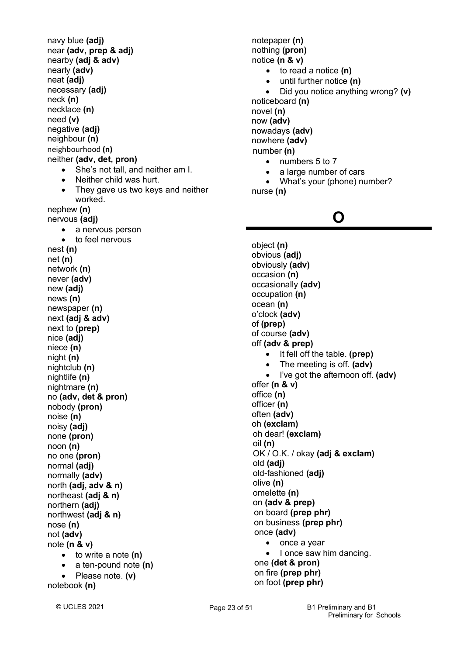navy blue **(adj)** near **(adv, prep & adj)** nearby **(adj & adv)** nearly **(adv)** neat **(adj)** necessary **(adj)** neck **(n)** necklace **(n)** need **(v)** negative **(adj)** neighbour **(n)** neighbourhood **(n)** neither **(adv, det, pron)** • She's not tall, and neither am I. • Neither child was hurt. They gave us two keys and neither worked. nephew **(n)** nervous **(adj)** • a nervous person • to feel nervous nest **(n)** net **(n)** network **(n)** never **(adv)** new **(adj)** news **(n)** newspaper **(n)** next **(adj & adv)** next to **(prep)** nice **(adj)** niece **(n)** night **(n)** nightclub **(n)** nightlife **(n)** nightmare **(n)** no **(adv, det & pron)** nobody **(pron)** noise **(n)** noisy **(adj)** none **(pron)** noon **(n)** no one **(pron)** normal **(adj)** normally **(adv)** north **(adj, adv & n)** northeast **(adj & n)** northern **(adj)** northwest **(adj & n)** nose **(n)** not **(adv)** note **(n & v)** • to write a note **(n)** • a ten-pound note **(n)** • Please note. **(v)** notebook **(n)**

notepaper **(n)** nothing **(pron)** notice **(n & v)** • to read a notice **(n)** • until further notice **(n)** • Did you notice anything wrong? **(v)** noticeboard **(n)** novel **(n)** now **(adv)** nowadays **(adv)** nowhere **(adv)** number **(n)** • numbers 5 to 7

- a large number of cars
- What's your (phone) number? nurse **(n)**

## **O**

object **(n)** obvious **(adj)** obviously **(adv)** occasion **(n)** occasionally **(adv)** occupation **(n)** ocean **(n)** o'clock **(adv)** of **(prep)** of course **(adv)** off **(adv & prep)** • It fell off the table. **(prep)** • The meeting is off. **(adv)** • I've got the afternoon off. **(adv)** offer **(n & v)** office **(n)** officer **(n)** often **(adv)** oh **(exclam)** oh dear! **(exclam)** oil **(n)** OK / O.K. / okay **(adj & exclam)** old **(adj)** old-fashioned **(adj)** olive **(n)** omelette **(n)** on **(adv & prep)** on board **(prep phr)** on business **(prep phr)** once **(adv)** • once a year • I once saw him dancing. one **(det & pron)**

 on fire **(prep phr)** on foot **(prep phr)**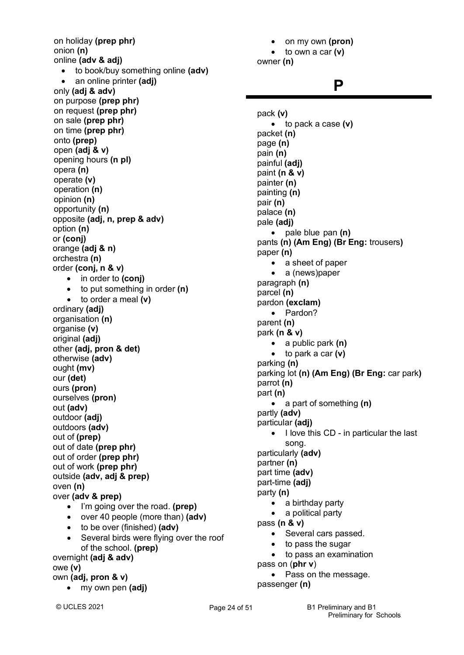on holiday **(prep phr)** onion **(n)** online **(adv & adj)** • to book/buy something online **(adv)** • an online printer **(adj)** only **(adj & adv)** on purpose **(prep phr)** on request **(prep phr)** on sale **(prep phr)** on time **(prep phr)** onto **(prep)** open **(adj & v)** opening hours **(n pl)** opera **(n)** operate **(v)** operation **(n)** opinion **(n)** opportunity **(n)** opposite **(adj, n, prep & adv)** option **(n)** or **(conj)** orange **(adj & n)** orchestra **(n)**  order **(conj, n & v)** • in order to **(conj)** • to put something in order **(n)** • to order a meal **(v)** ordinary **(adj)** organisation **(n)** organise **(v)** original **(adj)** other **(adj, pron & det)** otherwise **(adv)** ought **(mv)** our **(det)** ours **(pron)** ourselves **(pron)** out **(adv)** outdoor **(adj)** outdoors **(adv)** out of **(prep)** out of date **(prep phr)** out of order **(prep phr)** out of work **(prep phr)** outside **(adv, adj & prep)** oven **(n)** over **(adv & prep)** • I'm going over the road. **(prep)** • over 40 people (more than) **(adv)** • to be over (finished) **(adv)** • Several birds were flying over the roof of the school. **(prep)** overnight **(adj & adv)** owe **(v)** own **(adj, pron & v)** • my own pen **(adj)**

• on my own **(pron)** • to own a car **(v)** owner **(n)**

### **P**

pack **(v)** • to pack a case **(v)** packet **(n)** page **(n)** pain **(n)** painful **(adj)** paint **(n & v)** painter **(n)** painting **(n)** pair **(n)** palace **(n)** pale **(adj)** • pale blue pan **(n)** pants **(n) (Am Eng) (Br Eng:** trousers**)** paper **(n)** • a sheet of paper • a (news)paper paragraph **(n)** parcel **(n)** pardon **(exclam)** • Pardon? parent **(n)** park **(n & v)** • a public park **(n)** • to park a car **(v)** parking **(n)** parking lot **(n) (Am Eng) (Br Eng:** car park**)** parrot **(n)** part **(n)** • a part of something **(n)** partly **(adv)** particular **(adj)** • I love this CD - in particular the last song. particularly **(adv)** partner **(n)** part time **(adv)** part-time **(adj)** party **(n)** • a birthday party • a political party pass **(n & v)** • Several cars passed. to pass the sugar • to pass an examination pass on (**phr v**) • Pass on the message. passenger **(n)**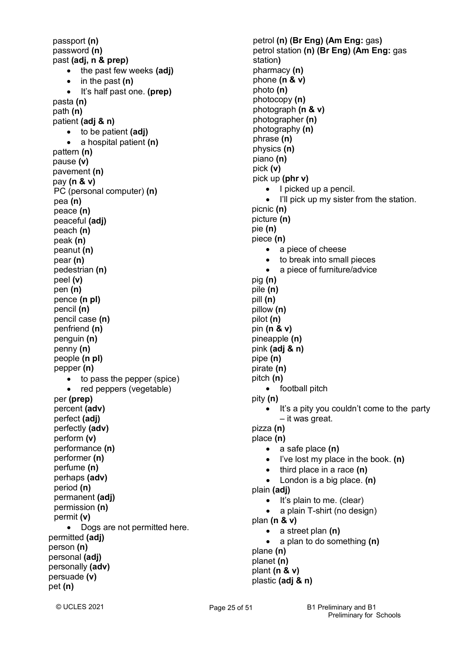passport **(n)** password **(n)** past **(adj, n & prep)** • the past few weeks **(adj)** • in the past **(n)** • It's half past one. **(prep)** pasta **(n)** path **(n)** patient **(adj & n)** • to be patient **(adj)** • a hospital patient **(n)** pattern **(n)** pause **(v)** pavement **(n)** pay **(n & v)** PC (personal computer) **(n)** pea **(n)** peace **(n)** peaceful **(adj)** peach **(n)** peak **(n)** peanut **(n)** pear **(n)** pedestrian **(n)** peel **(v)** pen **(n)** pence **(n pl)** pencil **(n)** pencil case **(n)** penfriend **(n)** penguin **(n)** penny **(n)** people **(n pl)** pepper **(n)** • to pass the pepper (spice) • red peppers (vegetable) per **(prep)** percent **(adv)** perfect **(adj)** perfectly **(adv)** perform **(v)** performance **(n)** performer **(n)** perfume **(n)** perhaps **(adv)** period **(n)** permanent **(adj)** permission **(n)** permit **(v)** • Dogs are not permitted here. permitted **(adj)** person **(n)** personal **(adj)** personally **(adv)** persuade **(v)** pet **(n)**

petrol **(n) (Br Eng) (Am Eng:** gas**)** petrol station **(n) (Br Eng) (Am Eng:** gas station**)** pharmacy **(n)** phone **(n & v)** photo **(n)** photocopy **(n)** photograph **(n & v)** photographer **(n)** photography **(n)** phrase **(n)** physics **(n)** piano **(n)** pick **(v)** pick up **(phr v)** • I picked up a pencil. • I'll pick up my sister from the station. picnic **(n)** picture **(n)** pie **(n)** piece **(n)** • a piece of cheese • to break into small pieces a piece of furniture/advice pig **(n)** pile **(n)** pill **(n)** pillow **(n)** pilot **(n)** pin **(n & v)** pineapple **(n)** pink **(adj & n)** pipe **(n)** pirate **(n)** pitch **(n)** • football pitch pity **(n)** It's a pity you couldn't come to the party – it was great. pizza **(n)** place **(n)** • a safe place **(n)** • I've lost my place in the book. **(n)** • third place in a race **(n)** • London is a big place. **(n)** plain **(adj)** It's plain to me. (clear) • a plain T-shirt (no design) plan **(n & v)** • a street plan **(n)** • a plan to do something **(n)** plane **(n)** planet **(n)** plant **(n & v)** plastic **(adj & n)**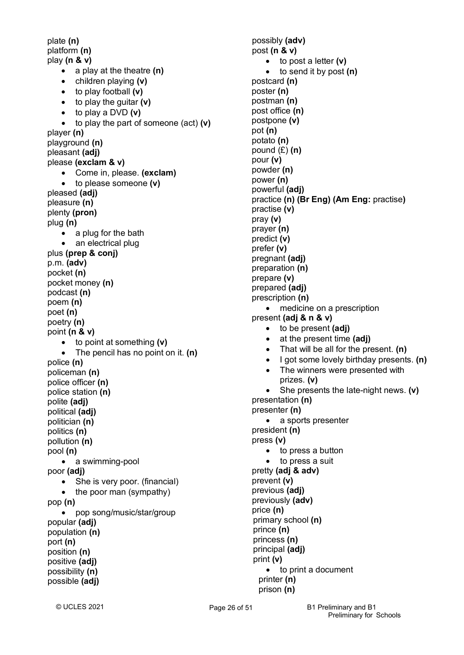plate **(n)** platform **(n)** play **(n & v)** • a play at the theatre **(n)** • children playing **(v)** • to play football **(v)** • to play the guitar **(v)** • to play a DVD **(v)** • to play the part of someone (act) **(v)** player **(n)** playground **(n)** pleasant **(adj)** please **(exclam & v)** • Come in, please. **(exclam)** • to please someone **(v)** pleased **(adj)** pleasure **(n)** plenty **(pron)** plug **(n)** • a plug for the bath • an electrical plug plus **(prep & conj)** p.m. **(adv)** pocket **(n)** pocket money **(n)** podcast **(n)** poem **(n)** poet **(n)** poetry **(n)** point **(n & v)** • to point at something **(v)** • The pencil has no point on it. **(n)** police **(n)** policeman **(n)** police officer **(n)** police station **(n)** polite **(adj)** political **(adj)** politician **(n)** politics **(n)** pollution **(n)** pool **(n)** • a swimming-pool poor **(adj)** • She is very poor. (financial) • the poor man (sympathy) pop **(n)** • pop song/music/star/group popular **(adj)** population **(n)** port **(n)** position **(n)** positive **(adj)** possibility **(n)** possible **(adj)**

possibly **(adv)** post **(n & v)**

postcard **(n)** poster **(n)** postman **(n)** post office **(n)** postpone **(v)** pot **(n)** potato **(n)** pound (£) **(n)** pour **(v)** powder **(n)** power **(n)** powerful **(adj)**

practise **(v)** pray **(v)** prayer **(n)** predict **(v)** prefer **(v)** pregnant **(adj)** preparation **(n)** prepare **(v)** prepared **(adj)** prescription **(n)**

• to post a letter **(v)**

• to send it by post **(n)**

practice **(n) (Br Eng) (Am Eng:** practise**)**

• medicine on a prescription

• That will be all for the present. **(n)**

• The winners were presented with

• She presents the late-night news. **(v)**

• I got some lovely birthday presents. **(n)**

present **(adj & n & v)**

prizes. **(v)**

• a sports presenter

• to press a button to press a suit

• to print a document

presentation **(n)** presenter **(n)**

president **(n)** press **(v)**

prevent **(v)** previous **(adj)** previously **(adv)**

price **(n)**

prince **(n)** princess **(n)** principal **(adj)**

print **(v)**

printer **(n)** prison **(n)**

pretty **(adj & adv)**

primary school **(n)**

• to be present **(adj)** • at the present time **(adj)**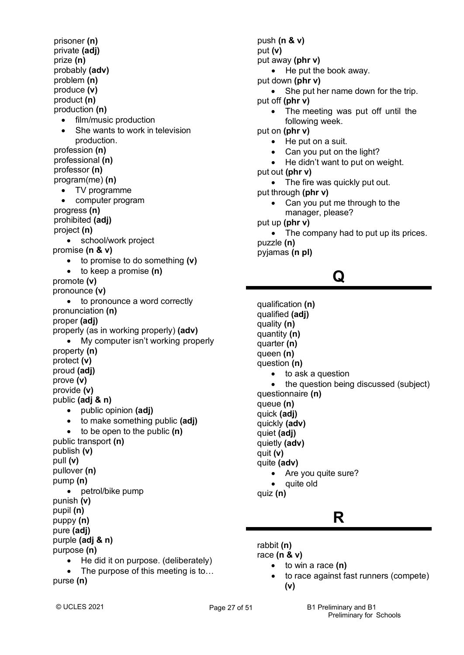prisoner **(n)** private **(adj)** prize **(n)** probably **(adv)** problem **(n)** produce **(v)** product **(n)** production **(n)** • film/music production She wants to work in television production. profession **(n)** professional **(n)** professor **(n)** program(me) **(n)** • TV programme • computer program progress **(n)** prohibited **(adj)** project **(n)** • school/work project promise **(n & v)** • to promise to do something **(v)** • to keep a promise **(n)** promote **(v)** pronounce **(v)** to pronounce a word correctly pronunciation **(n)** proper **(adj)** properly (as in working properly) **(adv)** • My computer isn't working properly property **(n)** protect **(v)** proud **(adj)** prove **(v)** provide **(v)** public **(adj & n)** • public opinion **(adj)** • to make something public **(adj)** • to be open to the public **(n)** public transport **(n)** publish **(v)** pull **(v)** pullover **(n)** pump **(n)** • petrol/bike pump punish **(v)** pupil **(n)** puppy **(n)** pure **(adj)** purple **(adj & n)** purpose **(n)** • He did it on purpose. (deliberately) • The purpose of this meeting is to... purse **(n)**

push **(n & v)** put **(v)** put away **(phr v)** • He put the book away. put down **(phr v)** • She put her name down for the trip. put off **(phr v)** The meeting was put off until the following week. put on **(phr v)** • He put on a suit. • Can you put on the light? He didn't want to put on weight. put out **(phr v)** • The fire was quickly put out. put through **(phr v)** Can you put me through to the manager, please? put up **(phr v)** • The company had to put up its prices. puzzle **(n)** pyjamas **(n pl)**

## **Q**

qualification **(n)** qualified **(adj)** quality **(n)** quantity **(n)** quarter **(n)** queen **(n)** question **(n)** • to ask a question • the question being discussed (subject) questionnaire **(n)** queue **(n)** quick **(adj)** quickly **(adv)** quiet **(adj)** quietly **(adv)** quit **(v)** quite **(adv)** • Are you quite sure? • quite old quiz **(n)**

## **R**

rabbit **(n)**

race **(n & v)**

- to win a race **(n)**
- to race against fast runners (compete)  **(v)**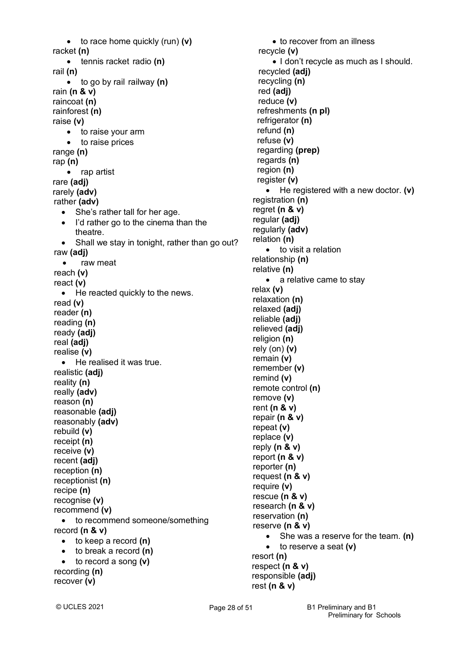• to race home quickly (run) **(v)** racket **(n)** • tennis racket radio **(n)** rail **(n)** • to go by rail railway **(n)** rain **(n & v)** raincoat **(n)** rainforest **(n)** raise **(v)** • to raise your arm • to raise prices range **(n)** rap **(n)** • rap artist rare **(adj)** rarely **(adv)** rather **(adv)** • She's rather tall for her age. • I'd rather go to the cinema than the theatre. • Shall we stay in tonight, rather than go out? raw **(adj)** • raw meat reach **(v)** react **(v)** • He reacted quickly to the news. read **(v)** reader **(n)** reading **(n)** ready **(adj)** real **(adj)** realise **(v)** • He realised it was true. realistic **(adj)** reality **(n)** really **(adv)** reason **(n)** reasonable **(adj)** reasonably **(adv)** rebuild **(v)** receipt **(n)** receive **(v)** recent **(adj)** reception **(n)** receptionist **(n)** recipe **(n)** recognise **(v)** recommend **(v)** • to recommend someone/something record **(n & v)** • to keep a record **(n)** • to break a record **(n)** • to record a song **(v)** recording **(n)** recover **(v)**

• to recover from an illness recycle **(v)** • I don't recycle as much as I should. recycled **(adj)** recycling **(n)** red **(adj)** reduce **(v)** refreshments **(n pl)** refrigerator **(n)** refund **(n)** refuse **(v)** regarding **(prep)** regards **(n)** region **(n)** register **(v)** • He registered with a new doctor. **(v)** registration **(n)** regret **(n & v)** regular **(adj)** regularly **(adv)** relation **(n)** • to visit a relation relationship **(n)** relative **(n)** • a relative came to stay relax **(v)** relaxation **(n)** relaxed **(adj)** reliable **(adj)** relieved **(adj)** religion **(n)** rely (on) **(v)** remain **(v)** remember **(v)** remind **(v)** remote control **(n)** remove **(v)** rent **(n & v)** repair **(n & v)** repeat **(v)** replace **(v)** reply **(n & v)** report **(n & v)** reporter **(n)** request **(n & v)** require **(v)** rescue **(n & v)** research **(n & v)** reservation **(n)** reserve **(n & v)** • She was a reserve for the team. **(n)** • to reserve a seat **(v)** resort **(n)** respect **(n & v)** responsible **(adj)** rest **(n & v)**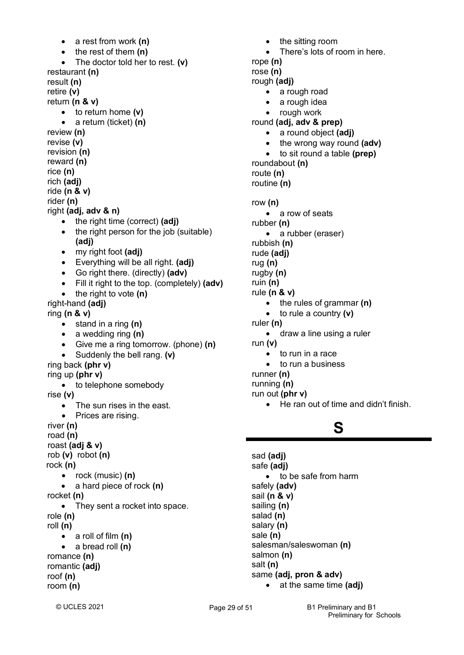• a rest from work **(n)** • the rest of them **(n)** • The doctor told her to rest. **(v)** restaurant **(n)** result **(n)** retire **(v)** return **(n & v)** • to return home **(v)** • a return (ticket) **(n)** review **(n)** revise **(v)** revision **(n)** reward **(n)** rice **(n)** rich **(adj)** ride **(n & v)** rider **(n)** right **(adj, adv & n)** • the right time (correct) **(adj)** • the right person for the job (suitable) **(adj)** • my right foot **(adj)** • Everything will be all right. **(adj)** • Go right there. (directly) **(adv)** • Fill it right to the top. (completely) **(adv)**  • the right to vote **(n)** right-hand **(adj)** ring **(n & v)** • stand in a ring **(n)** • a wedding ring **(n)** • Give me a ring tomorrow. (phone) **(n)** • Suddenly the bell rang. **(v)** ring back **(phr v)** ring up **(phr v)** to telephone somebody rise **(v)** • The sun rises in the east. • Prices are rising. river **(n)** road **(n)** roast **(adj & v)** rob **(v)** robot **(n)** rock **(n)** • rock (music) **(n)** • a hard piece of rock **(n)** rocket **(n)** • They sent a rocket into space. role **(n)** roll **(n)** • a roll of film **(n)** • a bread roll **(n)** romance **(n)** romantic **(adj)** roof **(n)** room **(n)**

• the sitting room There's lots of room in here. rope **(n)** rose **(n)** rough **(adj)** • a rough road a rough idea • rough work round **(adj, adv & prep)** • a round object **(adj)** • the wrong way round **(adv)** • to sit round a table **(prep)** roundabout **(n)** route **(n)** routine **(n)** row **(n)** • a row of seats rubber **(n)** • a rubber (eraser) rubbish **(n)** rude **(adj)** rug **(n)** rugby **(n)** ruin **(n)** rule **(n & v)** • the rules of grammar **(n)** • to rule a country **(v)** ruler **(n)** • draw a line using a ruler run **(v)** to run in a race to run a business runner **(n)** running **(n)** run out **(phr v)** • He ran out of time and didn't finish. **S**

sad **(adj)** safe **(adj)** • to be safe from harm safely **(adv)** sail **(n & v)** sailing **(n)** salad **(n)** salary **(n)** sale **(n)** salesman/saleswoman **(n)** salmon **(n)** salt **(n)** same **(adj, pron & adv)** • at the same time **(adj)**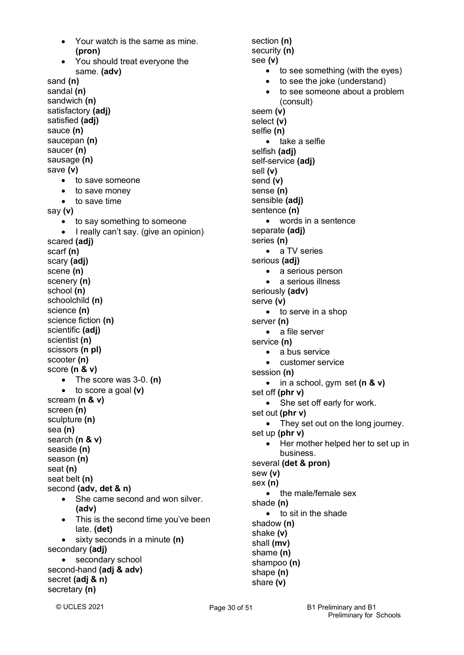• Your watch is the same as mine.  **(pron)** • You should treat everyone the same. **(adv)** sand **(n)** sandal **(n)** sandwich **(n)** satisfactory **(adj)** satisfied **(adj)** sauce **(n)** saucepan **(n)** saucer **(n)** sausage **(n)** save **(v)** • to save someone • to save money • to save time say **(v)** • to say something to someone • I really can't say. (give an opinion) scared **(adj)** scarf **(n)** scary **(adj)** scene **(n)** scenery **(n)** school **(n)** schoolchild **(n)** science **(n)** science fiction **(n)** scientific **(adj)** scientist **(n)** scissors **(n pl)** scooter **(n)** score **(n & v)** • The score was 3-0. **(n)** • to score a goal **(v)** scream **(n & v)** screen **(n)** sculpture **(n)** sea **(n)** search **(n & v)** seaside **(n)** season **(n)** seat **(n)** seat belt **(n)** second **(adv, det & n)** • She came second and won silver.  **(adv)** • This is the second time you've been late. **(det)** • sixty seconds in a minute **(n)** secondary **(adj)** • secondary school second-hand **(adj & adv)** secret **(adj & n)** secretary **(n)**

section **(n)** security **(n)** see **(v)** • to see something (with the eyes) • to see the joke (understand) to see someone about a problem (consult) seem **(v)** select **(v)** selfie **(n)** • take a selfie selfish **(adj)** self-service **(adj)** sell **(v)** send **(v)** sense **(n)** sensible **(adj)** sentence **(n)** • words in a sentence separate **(adj)** series **(n)** • a TV series serious **(adj)** • a serious person • a serious illness seriously **(adv)** serve **(v)** • to serve in a shop server **(n)** • a file server service **(n)** • a bus service customer service session **(n)** • in a school, gym set **(n & v)** set off **(phr v)** • She set off early for work. set out **(phr v)** • They set out on the long journey. set up **(phr v)** • Her mother helped her to set up in business. several **(det & pron)** sew **(v)** sex **(n)** • the male/female sex shade **(n)** • to sit in the shade shadow **(n)** shake **(v)** shall **(mv)** shame **(n)** shampoo **(n)** shape **(n)** share **(v)**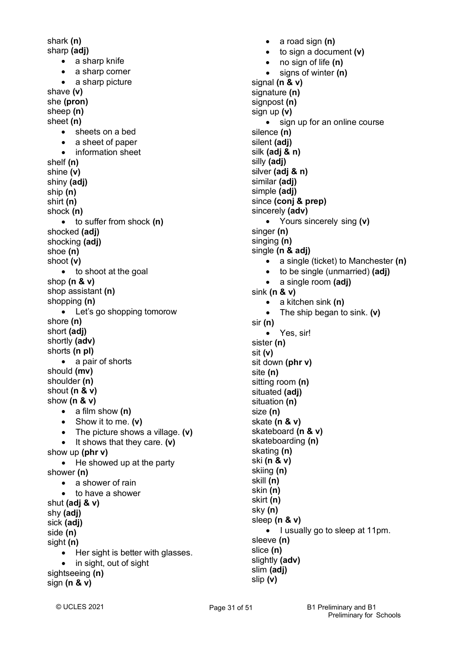shark **(n)** sharp **(adj)** • a sharp knife • a sharp corner • a sharp picture shave **(v)** she **(pron)** sheep **(n)** sheet **(n)** • sheets on a bed • a sheet of paper • information sheet shelf **(n)** shine **(v)** shiny **(adj)** ship **(n)** shirt **(n)** shock **(n)** • to suffer from shock **(n)** shocked **(adj)** shocking **(adj)** shoe **(n)** shoot **(v)** • to shoot at the goal shop **(n & v)** shop assistant **(n)** shopping **(n)** • Let's go shopping tomorow shore **(n)** short **(adj)** shortly **(adv)** shorts **(n pl)** • a pair of shorts should **(mv)** shoulder **(n)** shout **(n & v)** show **(n & v)** • a film show **(n)** • Show it to me. **(v)** • The picture shows a village. **(v)** • It shows that they care. **(v)** show up **(phr v)** • He showed up at the party shower **(n)** • a shower of rain • to have a shower shut **(adj & v)** shy **(adj)** sick **(adj)** side **(n)** sight **(n)** • Her sight is better with glasses. • in sight, out of sight sightseeing **(n)** sign **(n & v)**

• a road sign **(n)** • to sign a document **(v)** • no sign of life **(n)** • signs of winter **(n)** signal **(n & v)** signature **(n)** signpost **(n)** sign up **(v)** • sign up for an online course silence **(n)** silent **(adj)** silk **(adj & n)** silly **(adj)** silver **(adj & n)** similar **(adj)** simple **(adj)** since **(conj & prep)** sincerely **(adv)** • Yours sincerely sing **(v)** singer **(n)** singing **(n)** single **(n & adj)** • a single (ticket) to Manchester **(n)** • to be single (unmarried) **(adj)** • a single room **(adj)** sink **(n & v)** • a kitchen sink **(n)** • The ship began to sink. **(v)** sir **(n)** • Yes, sir! sister **(n)** sit **(v)** sit down **(phr v)** site **(n)** sitting room **(n)** situated **(adj)** situation **(n)** size **(n)** skate **(n & v)** skateboard **(n & v)** skateboarding **(n)** skating **(n)** ski **(n & v)** skiing **(n)** skill **(n)** skin **(n)**  skirt **(n)** sky **(n)** sleep **(n & v)** • I usually go to sleep at 11pm. sleeve **(n)** slice **(n)** slightly **(adv)** slim **(adj)** slip **(v)**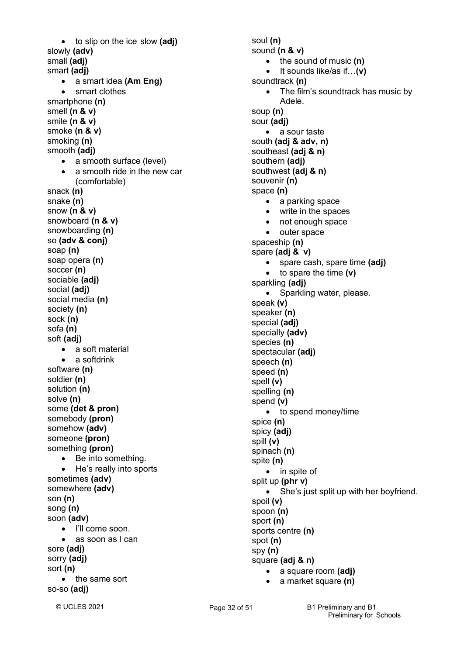• to slip on the ice slow **(adj)** slowly **(adv)** small **(adj)** smart **(adj)** • a smart idea **(Am Eng)** • smart clothes smartphone **(n)** smell **(n & v)** smile **(n & v)** smoke **(n & v)** smoking **(n)** smooth **(adj)** • a smooth surface (level) • a smooth ride in the new car (comfortable) snack **(n)** snake **(n)** snow **(n & v)** snowboard **(n & v)** snowboarding **(n)** so **(adv & conj)** soap **(n)** soap opera **(n)** soccer **(n)** sociable **(adj)** social **(adj)** social media **(n)** society **(n)** sock **(n)** sofa **(n)**  soft **(adj)** • a soft material • a softdrink software **(n)** soldier **(n)** solution **(n)** solve **(n)** some **(det & pron)** somebody **(pron)** somehow **(adv)** someone **(pron)** something **(pron)** • Be into something. • He's really into sports sometimes **(adv)** somewhere **(adv)** son **(n)** song **(n)** soon **(adv)** • I'll come soon. • as soon as I can sore **(adj)** sorry **(adj)** sort **(n)** • the same sort so-so **(adj)**

soul **(n)** sound **(n & v)** • the sound of music **(n)** • It sounds like/as if…**(v)** soundtrack **(n)** The film's soundtrack has music by Adele. soup **(n)** sour **(adj)** • a sour taste south **(adj & adv, n)** southeast **(adj & n)** southern **(adj)** southwest **(adj & n)** souvenir **(n)** space **(n)** • a parking space • write in the spaces • not enough space • outer space spaceship **(n)** spare **(adj & v)** • spare cash, spare time **(adj)** • to spare the time **(v)** sparkling **(adj)** • Sparkling water, please. speak **(v)** speaker **(n)** special **(adj)** specially **(adv)** species **(n)** spectacular **(adj)** speech **(n)** speed **(n)** spell **(v)** spelling **(n)** spend **(v)** • to spend money/time spice **(n)** spicy **(adj)** spill **(v)** spinach **(n)** spite **(n)** • in spite of split up **(phr v)** • She's just split up with her boyfriend. spoil **(v)** spoon **(n)** sport **(n)** sports centre **(n)** spot **(n)** spy **(n)** square **(adj & n)** • a square room **(adj)**

• a market square **(n)**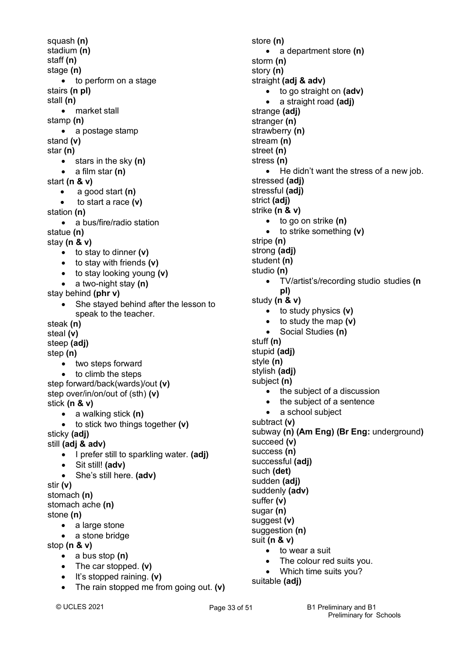squash **(n)** stadium **(n)** staff **(n)** stage **(n)** • to perform on a stage stairs **(n pl)** stall **(n)** • market stall stamp **(n)** • a postage stamp stand **(v)** star **(n)** • stars in the sky **(n)** • a film star **(n)** start **(n & v)** • a good start **(n)** • to start a race **(v)** station **(n)** • a bus/fire/radio station statue **(n)** stay **(n & v)** • to stay to dinner **(v)** • to stay with friends **(v)** • to stay looking young **(v)** • a two-night stay **(n)** stay behind **(phr v)** • She stayed behind after the lesson to speak to the teacher. steak **(n)** steal **(v)** steep **(adj)** step **(n)** • two steps forward • to climb the steps step forward/back(wards)/out **(v)** step over/in/on/out of (sth) **(v)** stick **(n & v)** • a walking stick **(n)** • to stick two things together **(v)** sticky **(adj)** still **(adj & adv)** • I prefer still to sparkling water. **(adj)** • Sit still! **(adv)** • She's still here. **(adv)** stir **(v)** stomach **(n)** stomach ache **(n)** stone **(n)** • a large stone • a stone bridge stop **(n & v)** • a bus stop **(n)** • The car stopped. **(v)**

- It's stopped raining. **(v)**
- The rain stopped me from going out. **(v)**

store **(n)** • a department store **(n)** storm **(n)** story **(n)** straight **(adj & adv)** • to go straight on **(adv)** • a straight road **(adj)** strange **(adj)** stranger **(n)** strawberry **(n)** stream **(n)** street **(n)** stress **(n)** • He didn't want the stress of a new job. stressed **(adj)** stressful **(adj)** strict **(adj)** strike **(n & v)** • to go on strike **(n)** • to strike something **(v)** stripe **(n)** strong **(adj)** student **(n)** studio **(n)** • TV/artist's/recording studio studies **(n pl)** study **(n & v)** • to study physics **(v)** • to study the map **(v)** • Social Studies **(n)** stuff **(n)** stupid **(adj)** style **(n)** stylish **(adj)** subject **(n)** • the subject of a discussion • the subject of a sentence • a school subject subtract **(v)** subway **(n) (Am Eng) (Br Eng:** underground**)** succeed **(v)** success **(n)** successful **(adj)** such **(det)** sudden **(adj)** suddenly **(adv)** suffer **(v)** sugar **(n)** suggest **(v)** suggestion (n) suit **(n & v)** • to wear a suit The colour red suits you.

• Which time suits you?

suitable **(adj)**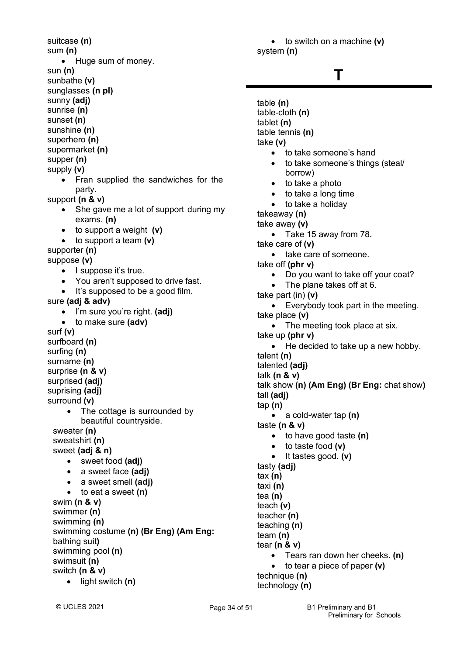suitcase **(n)** sum **(n)** • Huge sum of money. sun **(n)** sunbathe **(v)** sunglasses **(n pl)** sunny **(adj)** sunrise **(n)** sunset **(n)** sunshine **(n)** superhero **(n)** supermarket **(n)** supper **(n)** supply **(v)** • Fran supplied the sandwiches for the party. support **(n & v)** • She gave me a lot of support during my exams. **(n)** • to support a weight **(v)** • to support a team **(v)** supporter **(n)** suppose **(v)** • I suppose it's true. • You aren't supposed to drive fast. • It's supposed to be a good film. sure **(adj & adv)** • I'm sure you're right. **(adj)** • to make sure **(adv)** surf **(v)** surfboard **(n)** surfing **(n)** surname **(n)** surprise **(n & v)** surprised **(adj)** suprising **(adj)** surround **(v)** • The cottage is surrounded by beautiful countryside. sweater **(n)** sweatshirt **(n)** sweet **(adj & n)** • sweet food **(adj)** • a sweet face **(adj)** • a sweet smell **(adj)** • to eat a sweet **(n)** swim **(n & v)** swimmer **(n)** swimming **(n)** swimming costume **(n) (Br Eng) (Am Eng:** bathing suit**)** swimming pool **(n)** swimsuit **(n)** switch **(n & v)** • light switch **(n)**

• to switch on a machine **(v)** system **(n)**

## **T**

```
table (n)
table-cloth (n)
tablet (n)
table tennis (n)
take (v)
   • to take someone's hand
       • to take someone's things (steal/
       borrow)
   • to take a photo
      • to take a long time
   • to take a holiday
takeaway (n)
take away (v)
   • Take 15 away from 78.
take care of (v)
   • take care of someone.
take off (phr v)
   • Do you want to take off your coat?
       The plane takes off at 6.
take part (in) (v)
   • Everybody took part in the meeting.
take place (v)
   • The meeting took place at six.
take up (phr v)
   • He decided to take up a new hobby.
talent (n)
talented (adj)
talk (n & v)
talk show (n) (Am Eng) (Br Eng: chat show)
tall (adj)
tap (n)
   • a cold-water tap (n)
taste (n & v)
   • to have good taste (n)
   • to taste food (v)
   • It tastes good. (v)
tasty (adj)
tax (n)
taxi (n)
tea (n) 
teach (v)
teacher (n)
teaching (n)
team (n)
tear (n & v)
   • Tears ran down her cheeks. (n)
   • to tear a piece of paper (v)
technique (n)
technology (n)
```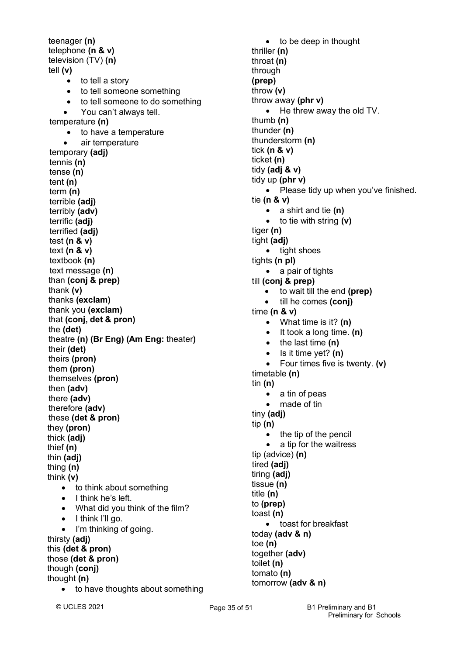teenager **(n)** telephone **(n & v)** television (TV) **(n)** tell **(v)** • to tell a story • to tell someone something • to tell someone to do something • You can't always tell. temperature **(n)** • to have a temperature • air temperature temporary **(adj)** tennis **(n)** tense **(n)** tent **(n)** term **(n)** terrible **(adj)** terribly **(adv)** terrific **(adj)** terrified **(adj)** test **(n & v)** text **(n & v)** textbook **(n)** text message **(n)** than **(conj & prep)** thank **(v)** thanks **(exclam)** thank you **(exclam)** that **(conj, det & pron)** the **(det)** theatre **(n) (Br Eng) (Am Eng:** theater**)** their **(det)** theirs **(pron)** them **(pron)** themselves **(pron)** then **(adv)** there **(adv)** therefore **(adv)** these **(det & pron)** they **(pron)** thick **(adj)** thief **(n)** thin **(adj)** thing **(n)** think **(v)** • to think about something • I think he's left. • What did you think of the film? • I think I'll go. • I'm thinking of going. thirsty **(adj)** this **(det & pron)** those **(det & pron)** though **(conj)** thought **(n)** • to have thoughts about something

• to be deep in thought thriller **(n)** throat **(n)** through **(prep)** throw **(v)** throw away **(phr v)** • He threw away the old TV. thumb **(n)** thunder **(n)** thunderstorm **(n)** tick **(n & v)** ticket **(n)** tidy **(adj & v)** tidy up **(phr v)** • Please tidy up when you've finished. tie **(n & v)** • a shirt and tie **(n)** • to tie with string **(v)** tiger **(n)** tight **(adj)** • tight shoes tights **(n pl)** • a pair of tights till **(conj & prep)** • to wait till the end **(prep)** • till he comes **(conj)** time **(n & v)** • What time is it? **(n)** • It took a long time. **(n)** • the last time **(n)** • Is it time yet? **(n)** • Four times five is twenty. **(v)** timetable **(n)** tin **(n)** • a tin of peas made of tin tiny **(adj)** tip **(n)** the tip of the pencil a tip for the waitress tip (advice) **(n)** tired **(adj)** tiring **(adj)** tissue **(n)** title **(n)** to **(prep)** toast **(n)** • toast for breakfast today **(adv & n)** toe **(n)**  together **(adv)** toilet **(n)** tomato **(n)**

© UCLES 2021

tomorrow **(adv & n)**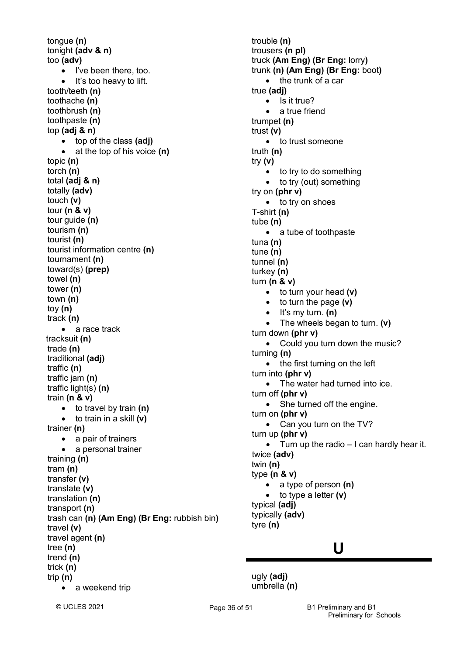tongue **(n)** tonight **(adv & n)** too **(adv)** • I've been there, too. • It's too heavy to lift. tooth/teeth **(n)** toothache **(n)** toothbrush **(n)** toothpaste **(n)** top **(adj & n)** • top of the class **(adj)** • at the top of his voice **(n)** topic **(n)** torch **(n)** total **(adj & n)** totally **(adv)** touch **(v)** tour **(n & v)** tour guide **(n)** tourism **(n)** tourist **(n)** tourist information centre **(n)** tournament **(n)** toward(s) **(prep)** towel **(n)** tower **(n)** town **(n)** toy **(n)**  track **(n)** • a race track tracksuit **(n)** trade **(n)** traditional **(adj)** traffic **(n)**  traffic jam **(n)** traffic light(s) **(n)** train **(n & v)** • to travel by train **(n)** • to train in a skill **(v)** trainer **(n)** • a pair of trainers • a personal trainer training **(n)** tram **(n)** transfer **(v)** translate **(v)** translation **(n)** transport **(n)** trash can **(n) (Am Eng) (Br Eng:** rubbish bin**)** travel **(v)** travel agent **(n)** tree **(n)** trend **(n)** trick **(n)** trip **(n)** • a weekend trip

trouble **(n)** trousers **(n pl)** truck **(Am Eng) (Br Eng:** lorry**)** trunk **(n) (Am Eng) (Br Eng:** boot**)** • the trunk of a car true **(adj)** • Is it true? a true friend trumpet **(n)** trust **(v)** • to trust someone truth **(n)** try **(v)** • to try to do something • to try (out) something try on **(phr v)** • to try on shoes T-shirt **(n)** tube **(n)** • a tube of toothpaste tuna **(n)** tune **(n)** tunnel **(n)** turkey **(n)** turn **(n & v)** • to turn your head **(v)** • to turn the page **(v)** • It's my turn. **(n)** • The wheels began to turn. **(v)** turn down **(phr v)** • Could you turn down the music? turning **(n)** • the first turning on the left turn into **(phr v)** • The water had turned into ice. turn off **(phr v)** • She turned off the engine. turn on **(phr v)** • Can you turn on the TV? turn up **(phr v)** • Turn up the radio – I can hardly hear it. twice **(adv)** twin **(n)** type **(n & v)** • a type of person **(n)** • to type a letter **(v)** typical **(adj)** typically **(adv)** tyre **(n)**

### **U**

ugly **(adj)** umbrella **(n)**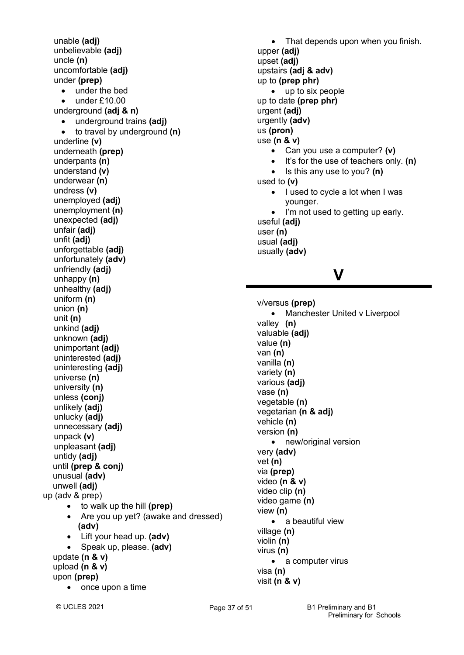unable **(adj)** unbelievable **(adj)** uncle **(n)** uncomfortable **(adj)** under **(prep)** • under the bed • under £10.00 underground **(adj & n)** • underground trains **(adj)** • to travel by underground **(n)** underline **(v)** underneath **(prep)** underpants **(n)** understand **(v)** underwear **(n)** undress **(v)** unemployed **(adj)** unemployment **(n)** unexpected **(adj)** unfair **(adj)** unfit **(adj)** unforgettable **(adj)** unfortunately **(adv)** unfriendly **(adj)** unhappy **(n)** unhealthy **(adj)** uniform **(n)** union **(n)** unit **(n)** unkind **(adj)** unknown **(adj)** unimportant **(adj)** uninterested **(adj)** uninteresting **(adj)** universe **(n)** university **(n)** unless **(conj)** unlikely **(adj)** unlucky **(adj)** unnecessary **(adj)** unpack **(v)** unpleasant **(adj)** untidy **(adj)** until **(prep & conj)** unusual **(adv)** unwell **(adj)** up (adv & prep) • to walk up the hill **(prep)** • Are you up yet? (awake and dressed)  **(adv)** • Lift your head up. **(adv)** • Speak up, please. **(adv)** update **(n & v)** upload **(n & v)** upon **(prep)** • once upon a time

• That depends upon when you finish. upper **(adj)** upset **(adj)** upstairs **(adj & adv)** up to **(prep phr)** • up to six people up to date **(prep phr)** urgent **(adj)** urgently **(adv)** us **(pron)** use **(n & v)** • Can you use a computer? **(v)** • It's for the use of teachers only. **(n)** • Is this any use to you? **(n)** used to **(v)** • I used to cycle a lot when I was younger. I'm not used to getting up early. useful **(adj)**

user **(n)** usual **(adj)** usually **(adv)**

### **V**

v/versus **(prep)** • Manchester United v Liverpool valley **(n)** valuable **(adj)** value **(n)** van **(n)** vanilla **(n)** variety **(n)** various **(adj)** vase **(n)** vegetable **(n)** vegetarian **(n & adj)** vehicle **(n)** version **(n)** • new/original version very **(adv)** vet **(n)** via **(prep)** video **(n & v)** video clip **(n)** video game **(n)** view **(n)** • a beautiful view village **(n)** violin **(n)** virus **(n)** • a computer virus visa **(n)**

visit **(n & v)**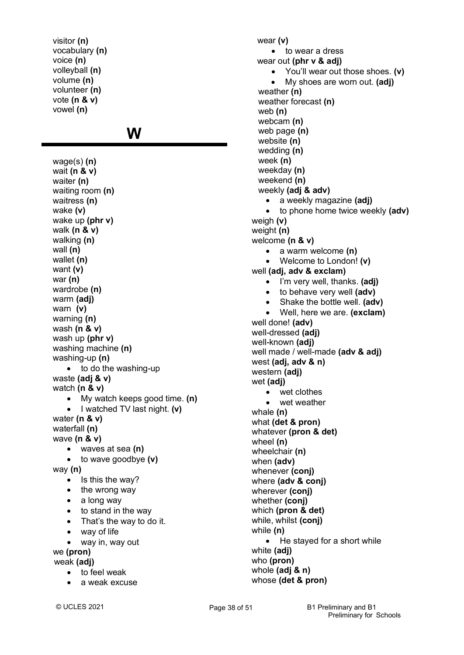visitor **(n)** vocabulary **(n)** voice **(n)** volleyball **(n)** volume **(n)** volunteer **(n)** vote **(n & v)** vowel **(n)**

### **W**

wage(s) **(n)** wait **(n & v)** waiter **(n)** waiting room **(n)** waitress **(n)** wake **(v)** wake up **(phr v)** walk **(n & v)** walking **(n)** wall **(n)** wallet **(n)** want **(v)** war **(n)** wardrobe **(n)** warm **(adj)** warn **(v)** warning **(n)** wash **(n & v)** wash up **(phr v)** washing machine **(n)** washing-up **(n)** • to do the washing-up waste **(adj & v)** watch **(n & v)** • My watch keeps good time. **(n)** • I watched TV last night. **(v)** water **(n & v)** waterfall **(n)** wave **(n & v)** • waves at sea **(n)** • to wave goodbye **(v)** way **(n)** • Is this the way? • the wrong way • a long way • to stand in the way • That's the way to do it. • way of life • way in, way out we **(pron)** weak **(adj)** • to feel weak a weak excuse

wear **(v)** • to wear a dress wear out **(phr v & adj)** • You'll wear out those shoes. **(v)** • My shoes are worn out. **(adj)** weather **(n)**  weather forecast **(n)** web **(n)** webcam **(n)** web page **(n)** website **(n)** wedding **(n)** week **(n)** weekday **(n)** weekend **(n)** weekly **(adj & adv)** • a weekly magazine **(adj)** • to phone home twice weekly **(adv)** weigh **(v)** weight **(n)** welcome **(n & v)** • a warm welcome **(n)** • Welcome to London! **(v)** well **(adj, adv & exclam)** • I'm very well, thanks. **(adj)** • to behave very well **(adv)** • Shake the bottle well. **(adv)** • Well, here we are. **(exclam)** well done! **(adv)** well-dressed **(adj)** well-known **(adj)** well made / well-made **(adv & adj)** west **(adj, adv & n)** western **(adj)** wet **(adj)** • wet clothes wet weather whale **(n)** what **(det & pron)** whatever **(pron & det)** wheel **(n)** wheelchair **(n)** when **(adv)** whenever **(conj)** where **(adv & conj)** wherever **(conj)** whether **(conj)** which **(pron & det)** while, whilst **(conj)** while **(n)** • He stayed for a short while white **(adj)** who **(pron)** whole **(adj & n)** whose **(det & pron)**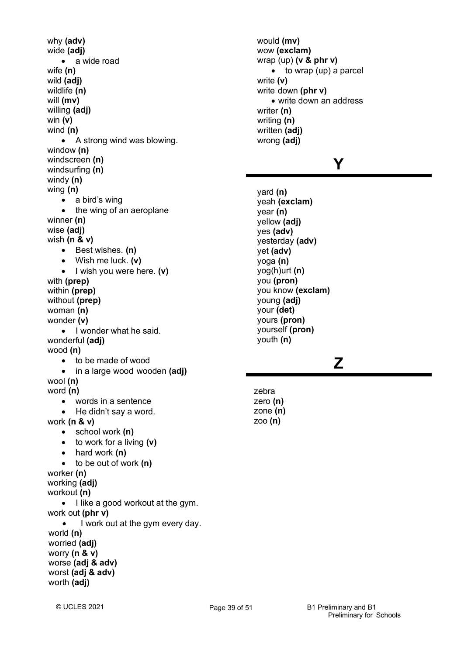why **(adv)** wide **(adj)** • a wide road wife **(n)** wild **(adj)** wildlife **(n)** will **(mv)** willing **(adj)** win **(v)** wind **(n)** • A strong wind was blowing. window **(n)** windscreen **(n)** windsurfing **(n)** windy **(n)** wing **(n)** • a bird's wing • the wing of an aeroplane winner **(n)** wise **(adj)** wish **(n & v)** • Best wishes. **(n)** • Wish me luck. **(v)** • I wish you were here. **(v)** with **(prep)** within **(prep)** without **(prep)** woman **(n)** wonder **(v)** • I wonder what he said. wonderful **(adj)** wood **(n)** • to be made of wood • in a large wood wooden **(adj)** wool **(n)** word **(n)** • words in a sentence • He didn't say a word. work **(n & v)** • school work **(n)** • to work for a living **(v)** • hard work **(n)** • to be out of work **(n)** worker **(n)** working **(adj)** workout **(n)** • I like a good workout at the gym. work out **(phr v)** • I work out at the gym every day. world **(n)** worried **(adj)** worry **(n & v)** worse **(adj & adv)** worst **(adj & adv)** worth **(adj)**

would **(mv)** wow **(exclam)** wrap (up) **(v & phr v)** • to wrap (up) a parcel write **(v)** write down **(phr v)** • write down an address writer **(n)** writing **(n)** written **(adj)** wrong **(adj)**

### **Y**

yard **(n)** yeah **(exclam)** year **(n)** yellow **(adj)** yes **(adv)** yesterday **(adv)** yet **(adv)** yoga **(n)** yog(h)urt **(n)** you **(pron)** you know **(exclam)** young **(adj)** your **(det)** yours **(pron)** yourself **(pron)** youth **(n)**

## **Z**

zebra zero **(n)** zone **(n)** zoo **(n)**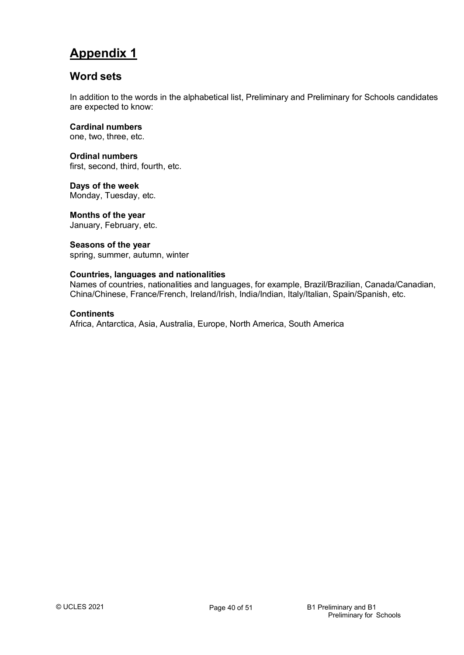### **Appendix 1**

### **Word sets**

In addition to the words in the alphabetical list, Preliminary and Preliminary for Schools candidates are expected to know:

**Cardinal numbers**

one, two, three, etc.

**Ordinal numbers** first, second, third, fourth, etc.

**Days of the week** Monday, Tuesday, etc.

**Months of the year** January, February, etc.

**Seasons of the year** spring, summer, autumn, winter

### **Countries, languages and nationalities**

Names of countries, nationalities and languages, for example, Brazil/Brazilian, Canada/Canadian, China/Chinese, France/French, Ireland/Irish, India/Indian, Italy/Italian, Spain/Spanish, etc.

### **Continents**

Africa, Antarctica, Asia, Australia, Europe, North America, South America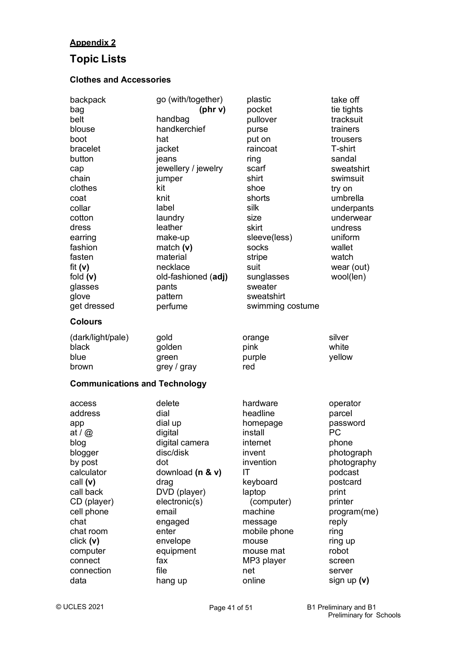### **Appendix 2**

## **Topic Lists**

### **Clothes and Accessories**

| backpack<br>bag<br>belt<br>blouse<br>boot<br>bracelet<br>button<br>cap<br>chain<br>clothes<br>coat<br>collar<br>cotton<br>dress<br>earring<br>fashion<br>fasten<br>fit $(v)$<br>fold $(v)$<br>glasses<br>glove<br>get dressed<br><b>Colours</b> | go (with/together)<br>(phr v)<br>handbag<br>handkerchief<br>hat<br>jacket<br>jeans<br>jewellery / jewelry<br>jumper<br>kit<br>knit<br>label<br>laundry<br>leather<br>make-up<br>match $(v)$<br>material<br>necklace<br>old-fashioned (adj)<br>pants<br>pattern<br>perfume | plastic<br>pocket<br>pullover<br>purse<br>put on<br>raincoat<br>ring<br>scarf<br>shirt<br>shoe<br>shorts<br>silk<br>size<br>skirt<br>sleeve(less)<br>socks<br>stripe<br>suit<br>sunglasses<br>sweater<br>sweatshirt<br>swimming costume | take off<br>tie tights<br>tracksuit<br>trainers<br>trousers<br>T-shirt<br>sandal<br>sweatshirt<br>swimsuit<br>try on<br>umbrella<br>underpants<br>underwear<br>undress<br>uniform<br>wallet<br>watch<br>wear (out)<br>wool(len) |
|-------------------------------------------------------------------------------------------------------------------------------------------------------------------------------------------------------------------------------------------------|---------------------------------------------------------------------------------------------------------------------------------------------------------------------------------------------------------------------------------------------------------------------------|-----------------------------------------------------------------------------------------------------------------------------------------------------------------------------------------------------------------------------------------|---------------------------------------------------------------------------------------------------------------------------------------------------------------------------------------------------------------------------------|
| (dark/light/pale)                                                                                                                                                                                                                               | gold                                                                                                                                                                                                                                                                      | orange                                                                                                                                                                                                                                  | silver                                                                                                                                                                                                                          |
| black                                                                                                                                                                                                                                           | golden                                                                                                                                                                                                                                                                    | pink                                                                                                                                                                                                                                    | white                                                                                                                                                                                                                           |
| blue                                                                                                                                                                                                                                            | green                                                                                                                                                                                                                                                                     | purple                                                                                                                                                                                                                                  | yellow                                                                                                                                                                                                                          |
| brown<br><b>Communications and Technology</b>                                                                                                                                                                                                   | grey / gray                                                                                                                                                                                                                                                               | red                                                                                                                                                                                                                                     |                                                                                                                                                                                                                                 |
| access                                                                                                                                                                                                                                          | delete                                                                                                                                                                                                                                                                    | hardware                                                                                                                                                                                                                                | operator                                                                                                                                                                                                                        |
| address                                                                                                                                                                                                                                         | dial                                                                                                                                                                                                                                                                      | headline                                                                                                                                                                                                                                | parcel                                                                                                                                                                                                                          |
| app                                                                                                                                                                                                                                             | dial up                                                                                                                                                                                                                                                                   | homepage                                                                                                                                                                                                                                | password                                                                                                                                                                                                                        |
| at / $@$                                                                                                                                                                                                                                        | digital                                                                                                                                                                                                                                                                   | install                                                                                                                                                                                                                                 | PC                                                                                                                                                                                                                              |
| blog                                                                                                                                                                                                                                            | digital camera                                                                                                                                                                                                                                                            | internet                                                                                                                                                                                                                                | phone                                                                                                                                                                                                                           |
| blogger                                                                                                                                                                                                                                         | disc/disk                                                                                                                                                                                                                                                                 | invent                                                                                                                                                                                                                                  | photograph                                                                                                                                                                                                                      |
| by post                                                                                                                                                                                                                                         | dot                                                                                                                                                                                                                                                                       | invention                                                                                                                                                                                                                               | photography                                                                                                                                                                                                                     |
| calculator                                                                                                                                                                                                                                      | download (n & v)                                                                                                                                                                                                                                                          | IT                                                                                                                                                                                                                                      | podcast                                                                                                                                                                                                                         |
| call (v)                                                                                                                                                                                                                                        | drag                                                                                                                                                                                                                                                                      | keyboard                                                                                                                                                                                                                                | postcard                                                                                                                                                                                                                        |
| call back                                                                                                                                                                                                                                       | DVD (player)                                                                                                                                                                                                                                                              | laptop                                                                                                                                                                                                                                  | print                                                                                                                                                                                                                           |
| CD (player)                                                                                                                                                                                                                                     | electronic(s)                                                                                                                                                                                                                                                             | (computer)                                                                                                                                                                                                                              | printer                                                                                                                                                                                                                         |
| cell phone                                                                                                                                                                                                                                      | email                                                                                                                                                                                                                                                                     | machine                                                                                                                                                                                                                                 | program(me)                                                                                                                                                                                                                     |
| chat                                                                                                                                                                                                                                            | engaged                                                                                                                                                                                                                                                                   | message                                                                                                                                                                                                                                 | reply                                                                                                                                                                                                                           |
| chat room                                                                                                                                                                                                                                       | enter                                                                                                                                                                                                                                                                     | mobile phone                                                                                                                                                                                                                            | ring                                                                                                                                                                                                                            |
| click(y)                                                                                                                                                                                                                                        | envelope                                                                                                                                                                                                                                                                  | mouse                                                                                                                                                                                                                                   | ring up                                                                                                                                                                                                                         |
| computer                                                                                                                                                                                                                                        | equipment                                                                                                                                                                                                                                                                 | mouse mat                                                                                                                                                                                                                               | robot                                                                                                                                                                                                                           |
| connect                                                                                                                                                                                                                                         | fax                                                                                                                                                                                                                                                                       | MP3 player                                                                                                                                                                                                                              | screen                                                                                                                                                                                                                          |
| connection                                                                                                                                                                                                                                      | file                                                                                                                                                                                                                                                                      | net                                                                                                                                                                                                                                     | server                                                                                                                                                                                                                          |
| data                                                                                                                                                                                                                                            | hang up                                                                                                                                                                                                                                                                   | online                                                                                                                                                                                                                                  | sign up $(v)$                                                                                                                                                                                                                   |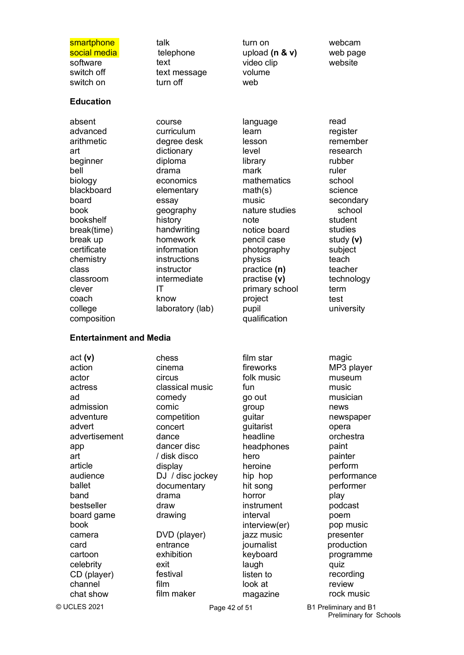software switch off switch on

## **Education**

absent advanced arithmetic art beginner bell biology blackboard board book bookshelf break(time) break up certificate chemistry class classroom clever coach college composition text text message turn off

course curriculum

smartphone talk turn on webcam social media telephone upload **(n & v)** web page video clip volume web

> language learn lesson level library mark mathematics math(s) music nature studies note notice board pencil case photography physics practice **(n)** practise **(v)** primary school project pupil qualification

website

read

degree desk dictionary diploma drama economics elementary essay geography history handwriting homework information instructions instructor intermediate IT know laboratory (lab) register remember research rubber ruler school science secondary school student studies study **(v)** subject teach teacher technology term test university

### **Entertainment and Media**

act **(v)** action actor actress ad admission adventure advert advertisement app art article audience ballet band bestseller board game book cartoon celebrity CD (player) channel chat show

chess cinema circus classical music comedy comic competition concert dance dancer disc / disk disco display DJ / disc jockey documentary drama draw drawing camera DVD (player) jazz music presenter card entrance journalist production exhibition exit festival film film maker

fireworks folk music fun go out group guitar guitarist headline headphones hero heroine hip hop hit song horror instrument interval interview(er) keyboard laugh listen to look at magazine

film star

magic MP3 player museum music musician news newspaper opera orchestra paint painter perform performance performer play podcast poem pop music programme quiz recording review rock music

© UCLES 2021

Page 42 of 51 B1 Preliminary and B1 Preliminary for Schools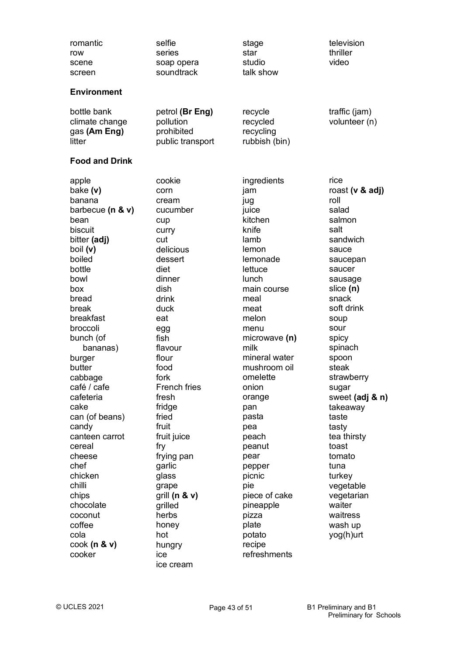| romantic<br>row<br>scene<br>screen                                                                                                                                                                                                                                                                                                                                                                                     | selfie<br>series<br>soap opera<br>soundtrack                                                                                                                                                                                                                                                                                                                        | stage<br>star<br>studio<br>talk show                                                                                                                                                                                                                                                                                                                                          | television<br>thriller<br>video                                                                                                                                                                                                                                                                                                                                                                       |
|------------------------------------------------------------------------------------------------------------------------------------------------------------------------------------------------------------------------------------------------------------------------------------------------------------------------------------------------------------------------------------------------------------------------|---------------------------------------------------------------------------------------------------------------------------------------------------------------------------------------------------------------------------------------------------------------------------------------------------------------------------------------------------------------------|-------------------------------------------------------------------------------------------------------------------------------------------------------------------------------------------------------------------------------------------------------------------------------------------------------------------------------------------------------------------------------|-------------------------------------------------------------------------------------------------------------------------------------------------------------------------------------------------------------------------------------------------------------------------------------------------------------------------------------------------------------------------------------------------------|
| <b>Environment</b>                                                                                                                                                                                                                                                                                                                                                                                                     |                                                                                                                                                                                                                                                                                                                                                                     |                                                                                                                                                                                                                                                                                                                                                                               |                                                                                                                                                                                                                                                                                                                                                                                                       |
| bottle bank<br>climate change<br>gas (Am Eng)<br>litter                                                                                                                                                                                                                                                                                                                                                                | petrol (Br Eng)<br>pollution<br>prohibited<br>public transport                                                                                                                                                                                                                                                                                                      | recycle<br>recycled<br>recycling<br>rubbish (bin)                                                                                                                                                                                                                                                                                                                             | traffic (jam)<br>volunteer (n)                                                                                                                                                                                                                                                                                                                                                                        |
| <b>Food and Drink</b>                                                                                                                                                                                                                                                                                                                                                                                                  |                                                                                                                                                                                                                                                                                                                                                                     |                                                                                                                                                                                                                                                                                                                                                                               |                                                                                                                                                                                                                                                                                                                                                                                                       |
| apple<br>bake (v)<br>banana<br>barbecue ( $n \& v$ )<br>bean<br>biscuit<br>bitter (adj)<br>boil (v)<br>boiled<br>bottle<br>bowl<br>box<br>bread<br>break<br>breakfast<br>broccoli<br>bunch (of<br>bananas)<br>burger<br>butter<br>cabbage<br>café / cafe<br>cafeteria<br>cake<br>can (of beans)<br>candy<br>canteen carrot<br>cereal<br>cheese<br>chef<br>chicken<br>chilli<br>chips<br>chocolate<br>coconut<br>coffee | cookie<br>corn<br>cream<br>cucumber<br>cup<br>curry<br>cut<br>delicious<br>dessert<br>diet<br>dinner<br>dish<br>drink<br>duck<br>eat<br>egg<br>fish<br>flavour<br>flour<br>food<br>fork<br><b>French fries</b><br>fresh<br>fridge<br>fried<br>fruit<br>fruit juice<br>fry<br>frying pan<br>garlic<br>glass<br>grape<br>grill $(n & v)$<br>grilled<br>herbs<br>honey | ingredients<br>jam<br>jug<br>juice<br>kitchen<br>knife<br>lamb<br>lemon<br>lemonade<br>lettuce<br>lunch<br>main course<br>meal<br>meat<br>melon<br>menu<br>microwave (n)<br>milk<br>mineral water<br>mushroom oil<br>omelette<br>onion<br>orange<br>pan<br>pasta<br>pea<br>peach<br>peanut<br>pear<br>pepper<br>picnic<br>pie<br>piece of cake<br>pineapple<br>pizza<br>plate | rice<br>roast ( $v$ & adj)<br>roll<br>salad<br>salmon<br>salt<br>sandwich<br>sauce<br>saucepan<br>saucer<br>sausage<br>slice (n)<br>snack<br>soft drink<br>soup<br>sour<br>spicy<br>spinach<br>spoon<br>steak<br>strawberry<br>sugar<br>sweet (adj & n)<br>takeaway<br>taste<br>tasty<br>tea thirsty<br>toast<br>tomato<br>tuna<br>turkey<br>vegetable<br>vegetarian<br>waiter<br>waitress<br>wash up |
| cola<br>$\cosh(n \& v)$<br>cooker                                                                                                                                                                                                                                                                                                                                                                                      | hot<br>hungry<br>ice                                                                                                                                                                                                                                                                                                                                                | potato<br>recipe<br>refreshments                                                                                                                                                                                                                                                                                                                                              | yog(h)urt                                                                                                                                                                                                                                                                                                                                                                                             |

ice cream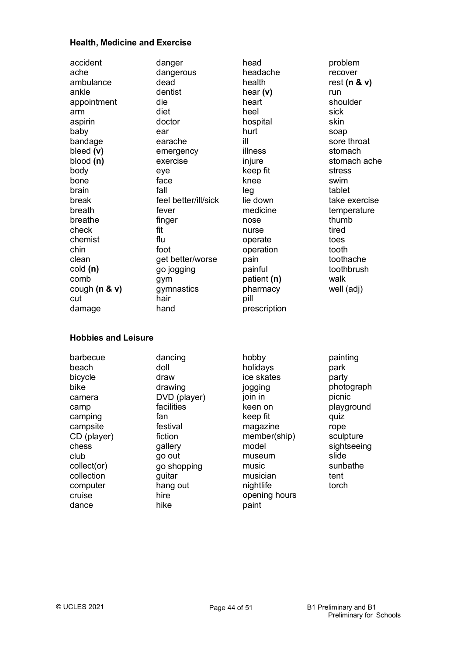### **Health, Medicine and Exercise**

| accident                   | danger               | head          | problem            |
|----------------------------|----------------------|---------------|--------------------|
| ache                       | dangerous            | headache      | recover            |
| ambulance                  | dead                 | health        | rest ( $n$ & $v$ ) |
| ankle                      | dentist              | hear $(v)$    | run                |
| appointment                | die                  | heart         | shoulder           |
| arm                        | diet                 | heel          | sick               |
| aspirin                    | doctor               | hospital      | skin               |
| baby                       | ear                  | hurt          | soap               |
| bandage                    | earache              | ill           | sore throat        |
| bleed $(v)$                | emergency            | illness       | stomach            |
| blood(n)                   | exercise             | injure        | stomach ache       |
| body                       | eye                  | keep fit      | stress             |
| bone                       | face                 | knee          | swim               |
| brain                      | fall                 | leg           | tablet             |
| break                      | feel better/ill/sick | lie down      | take exercise      |
| breath                     | fever                | medicine      | temperature        |
| breathe                    | finger               | nose          | thumb              |
| check                      | fit                  | nurse         | tired              |
| chemist                    | flu                  | operate       | toes               |
| chin                       | foot                 | operation     | tooth              |
| clean                      | get better/worse     | pain          | toothache          |
| cold (n)                   | go jogging           | painful       | toothbrush         |
| comb                       | gym                  | patient (n)   | walk               |
| cough $(n & v)$            | gymnastics           | pharmacy      | well (adj)         |
| cut                        | hair                 | pill          |                    |
| damage                     | hand                 | prescription  |                    |
| <b>Hobbies and Leisure</b> |                      |               |                    |
| barbecue                   | dancing              | hobby         | painting           |
| beach                      | doll                 | holidays      | park               |
| bicycle                    | draw                 | ice skates    | party              |
| bike                       | drawing              | jogging       | photograph         |
| camera                     | DVD (player)         | join in       | picnic             |
| camp                       | facilities           | keen on       | playground         |
| camping                    | fan                  | keep fit      | quiz               |
| campsite                   | festival             | magazine      | rope               |
| CD (player)                | fiction              | member(ship)  | sculpture          |
| chess                      | gallery              | model         | sightseeing        |
| club                       | go out               | museum        | slide              |
| collect(or)                | go shopping          | music         | sunbathe           |
| collection                 | guitar               | musician      | tent               |
| computer                   | hang out             | nightlife     | torch              |
| cruise                     | hire                 | opening hours |                    |

dance

hike

paint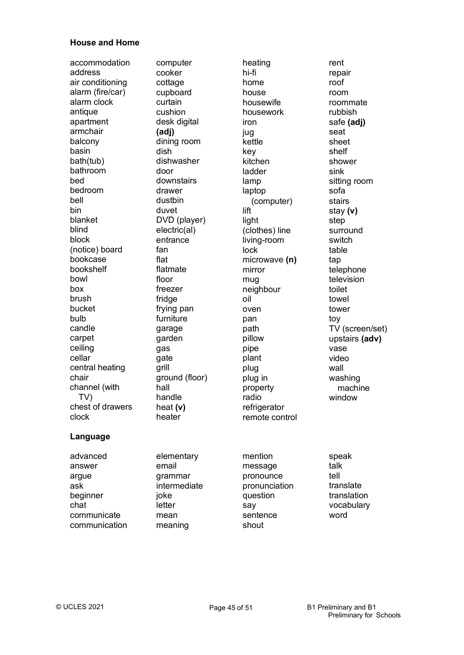#### **House and Home**

accommodation computer heating heating rent address air conditioning alarm (fire/car) alarm clock antique apartment armchair balcony basin bath(tub) bathroom bed bedroom bell bin blanket blind block (notice) board bookcase bookshelf bowl box brush bucket bulb candle carpet ceiling cellar central heating chair channel (with TV) chest of drawers clock

cooker cottage cupboard curtain cushion desk digital **(adj)** dining room dish dishwasher door downstairs drawer dustbin duvet DVD (player) electric(al) entrance fan flat flatmate floor freezer fridge frying pan furniture garage garden gas gate grill ground (floor) hall handle heat **(v)** heater

hi-fi home house housewife housework iron jug kettle key kitchen ladder lamp laptop (computer) lift light (clothes) line living-room lock microwave **(n)** mirror mug neighbour oil oven pan path pillow pipe plant plug plug in property radio refrigerator remote control

repair roof room roommate rubbish safe **(adj)** seat sheet shelf shower sink sitting room sofa stairs stay **(v)** step surround switch table tap telephone television toilet towel tower toy TV (screen/set) upstairs **(adv)** vase video wall washing machine window

### **Language**

advanced answer argue ask beginner chat communicate communication elementary email grammar intermediate joke letter mean meaning

mention message pronounce pronunciation question say sentence shout

speak talk tell translate translation vocabulary word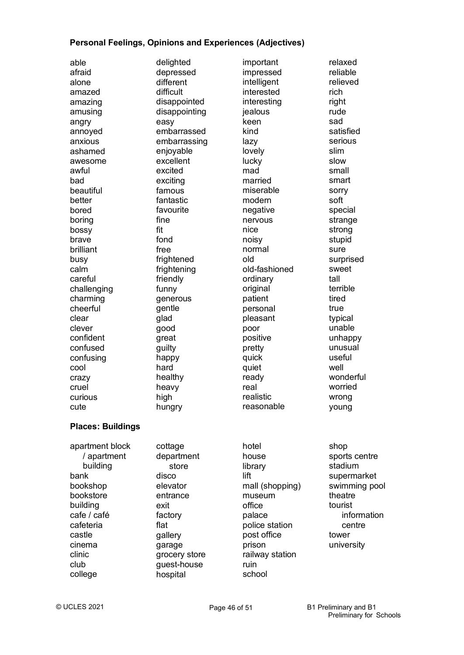### **Personal Feelings, Opinions and Experiences (Adjectives)**

| able<br>afraid<br>alone<br>amazed<br>amazing<br>amusing<br>angry<br>annoyed<br>anxious<br>ashamed<br>awesome<br>awful<br>bad<br>beautiful<br>better<br>bored<br>boring<br>bossy<br>brave<br>brilliant<br>busy<br>calm<br>careful | delighted<br>depressed<br>different<br>difficult<br>disappointed<br>disappointing<br>easy<br>embarrassed<br>embarrassing<br>enjoyable<br>excellent<br>excited<br>exciting<br>famous<br>fantastic<br>favourite<br>fine<br>fit<br>fond<br>free<br>frightened<br>frightening<br>friendly | important<br>impressed<br>intelligent<br>interested<br>interesting<br>jealous<br>keen<br>kind<br>lazy<br>lovely<br>lucky<br>mad<br>married<br>miserable<br>modern<br>negative<br>nervous<br>nice<br>noisy<br>normal<br>old<br>old-fashioned<br>ordinary | relaxed<br>reliable<br>relieved<br>rich<br>right<br>rude<br>sad<br>satisfied<br>serious<br>slim<br>slow<br>small<br>smart<br>sorry<br>soft<br>special<br>strange<br>strong<br>stupid<br>sure<br>surprised<br>sweet<br>tall |
|----------------------------------------------------------------------------------------------------------------------------------------------------------------------------------------------------------------------------------|---------------------------------------------------------------------------------------------------------------------------------------------------------------------------------------------------------------------------------------------------------------------------------------|---------------------------------------------------------------------------------------------------------------------------------------------------------------------------------------------------------------------------------------------------------|----------------------------------------------------------------------------------------------------------------------------------------------------------------------------------------------------------------------------|
| challenging<br>charming                                                                                                                                                                                                          | funny<br>generous                                                                                                                                                                                                                                                                     | original<br>patient                                                                                                                                                                                                                                     | terrible<br>tired                                                                                                                                                                                                          |
| cheerful                                                                                                                                                                                                                         | gentle                                                                                                                                                                                                                                                                                | personal                                                                                                                                                                                                                                                | true                                                                                                                                                                                                                       |
| clear                                                                                                                                                                                                                            | glad                                                                                                                                                                                                                                                                                  | pleasant                                                                                                                                                                                                                                                | typical                                                                                                                                                                                                                    |
| clever                                                                                                                                                                                                                           | good                                                                                                                                                                                                                                                                                  | poor                                                                                                                                                                                                                                                    | unable                                                                                                                                                                                                                     |
| confident                                                                                                                                                                                                                        | great                                                                                                                                                                                                                                                                                 | positive                                                                                                                                                                                                                                                | unhappy                                                                                                                                                                                                                    |
| confused                                                                                                                                                                                                                         | guilty                                                                                                                                                                                                                                                                                | pretty                                                                                                                                                                                                                                                  | unusual                                                                                                                                                                                                                    |
| confusing                                                                                                                                                                                                                        | happy                                                                                                                                                                                                                                                                                 | quick                                                                                                                                                                                                                                                   | useful                                                                                                                                                                                                                     |
| cool                                                                                                                                                                                                                             | hard                                                                                                                                                                                                                                                                                  | quiet                                                                                                                                                                                                                                                   | well                                                                                                                                                                                                                       |
| crazy                                                                                                                                                                                                                            | healthy                                                                                                                                                                                                                                                                               | ready                                                                                                                                                                                                                                                   | wonderful                                                                                                                                                                                                                  |
| cruel                                                                                                                                                                                                                            | heavy                                                                                                                                                                                                                                                                                 | real                                                                                                                                                                                                                                                    | worried                                                                                                                                                                                                                    |
| curious                                                                                                                                                                                                                          | high                                                                                                                                                                                                                                                                                  | realistic                                                                                                                                                                                                                                               | wrong                                                                                                                                                                                                                      |
| cute                                                                                                                                                                                                                             | hungry                                                                                                                                                                                                                                                                                | reasonable                                                                                                                                                                                                                                              | young                                                                                                                                                                                                                      |
| <b>Places: Buildings</b>                                                                                                                                                                                                         |                                                                                                                                                                                                                                                                                       |                                                                                                                                                                                                                                                         |                                                                                                                                                                                                                            |
| apartment block<br>/ apartment<br>building                                                                                                                                                                                       | cottage<br>department<br>store                                                                                                                                                                                                                                                        | hotel<br>house<br>library                                                                                                                                                                                                                               | shop<br>sports centre<br>stadium                                                                                                                                                                                           |
| bank                                                                                                                                                                                                                             | disco                                                                                                                                                                                                                                                                                 | lift                                                                                                                                                                                                                                                    | supermarket                                                                                                                                                                                                                |
| bookshop                                                                                                                                                                                                                         | elevator                                                                                                                                                                                                                                                                              | mall (shopping)                                                                                                                                                                                                                                         | swimming pool                                                                                                                                                                                                              |
| bookstore                                                                                                                                                                                                                        | entrance                                                                                                                                                                                                                                                                              | museum                                                                                                                                                                                                                                                  | theatre                                                                                                                                                                                                                    |
| building                                                                                                                                                                                                                         | exit                                                                                                                                                                                                                                                                                  | office                                                                                                                                                                                                                                                  | tourist                                                                                                                                                                                                                    |
| cafe / café                                                                                                                                                                                                                      | factory                                                                                                                                                                                                                                                                               | palace                                                                                                                                                                                                                                                  | information                                                                                                                                                                                                                |
| cafeteria                                                                                                                                                                                                                        | flat                                                                                                                                                                                                                                                                                  | police station                                                                                                                                                                                                                                          | centre                                                                                                                                                                                                                     |
| castle                                                                                                                                                                                                                           | gallery                                                                                                                                                                                                                                                                               | post office                                                                                                                                                                                                                                             | tower                                                                                                                                                                                                                      |
| cinema                                                                                                                                                                                                                           | garage                                                                                                                                                                                                                                                                                | prison                                                                                                                                                                                                                                                  | university                                                                                                                                                                                                                 |
| clinic                                                                                                                                                                                                                           | grocery store                                                                                                                                                                                                                                                                         | railway station                                                                                                                                                                                                                                         |                                                                                                                                                                                                                            |
| club                                                                                                                                                                                                                             | guest-house                                                                                                                                                                                                                                                                           | ruin                                                                                                                                                                                                                                                    |                                                                                                                                                                                                                            |

college

school

hospital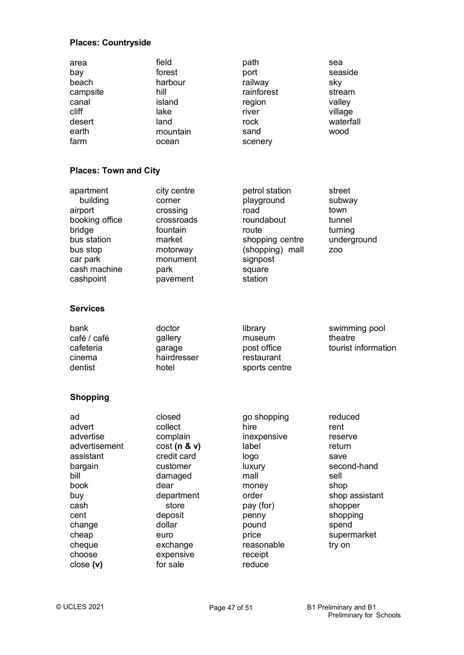### **Places: Countryside**

| area<br>bay<br>beach<br>campsite<br>canal<br>cliff<br>desert<br>earth<br>farm                                                                                 | field<br>forest<br>harbour<br>hill<br>island<br>lake<br>land<br>mountain<br>ocean                                                                                                   | path<br>port<br>railway<br>rainforest<br>region<br>river<br>rock<br>sand<br>scenery                                                                                | sea<br>seaside<br>sky<br>stream<br>valley<br>village<br>waterfall<br>wood                                                                              |
|---------------------------------------------------------------------------------------------------------------------------------------------------------------|-------------------------------------------------------------------------------------------------------------------------------------------------------------------------------------|--------------------------------------------------------------------------------------------------------------------------------------------------------------------|--------------------------------------------------------------------------------------------------------------------------------------------------------|
| <b>Places: Town and City</b>                                                                                                                                  |                                                                                                                                                                                     |                                                                                                                                                                    |                                                                                                                                                        |
| apartment<br>building<br>airport<br>booking office<br>bridge<br>bus station<br>bus stop<br>car park<br>cash machine<br>cashpoint                              | city centre<br>corner<br>crossing<br>crossroads<br>fountain<br>market<br>motorway<br>monument<br>park<br>pavement                                                                   | petrol station<br>playground<br>road<br>roundabout<br>route<br>shopping centre<br>(shopping) mall<br>signpost<br>square<br>station                                 | street<br>subway<br>town<br>tunnel<br>turning<br>underground<br>ZO <sub>O</sub>                                                                        |
| <b>Services</b>                                                                                                                                               |                                                                                                                                                                                     |                                                                                                                                                                    |                                                                                                                                                        |
| bank<br>café / café<br>cafeteria<br>cinema<br>dentist                                                                                                         | doctor<br>gallery<br>garage<br>hairdresser<br>hotel                                                                                                                                 | library<br>museum<br>post office<br>restaurant<br>sports centre                                                                                                    | swimming pool<br>theatre<br>tourist information                                                                                                        |
| <b>Shopping</b>                                                                                                                                               |                                                                                                                                                                                     |                                                                                                                                                                    |                                                                                                                                                        |
| ad<br>advert<br>advertise<br>advertisement<br>assistant<br>bargain<br>bill<br>book<br>buy<br>cash<br>cent<br>change<br>cheap<br>cheque<br>choose<br>close (v) | closed<br>collect<br>complain<br>cost(n & v)<br>credit card<br>customer<br>damaged<br>dear<br>department<br>store<br>deposit<br>dollar<br>euro<br>exchange<br>expensive<br>for sale | go shopping<br>hire<br>inexpensive<br>label<br>logo<br>luxury<br>mall<br>money<br>order<br>pay (for)<br>penny<br>pound<br>price<br>reasonable<br>receipt<br>reduce | reduced<br>rent<br>reserve<br>return<br>save<br>second-hand<br>sell<br>shop<br>shop assistant<br>shopper<br>shopping<br>spend<br>supermarket<br>try on |

close (v)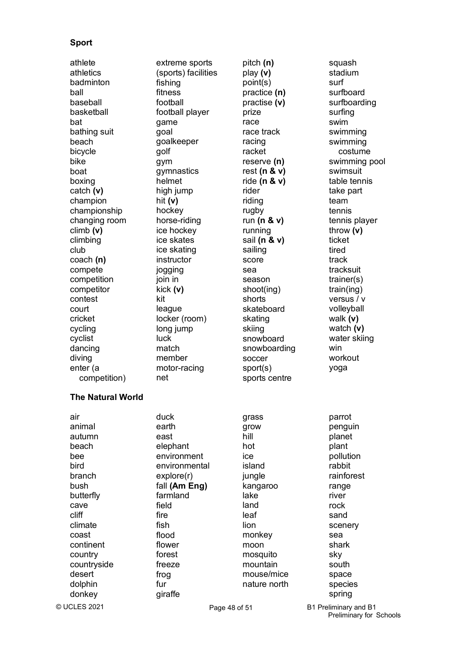### **Sport**

athletics badminton ball baseball basketball bat bathing suit beach bicycle bike boat boxing catch **(v)** champion championship changing room climb **(v)** climbing club coach **(n)** compete competition competitor contest court cricket cycling cyclist dancing diving enter (a competition)

(sports) facilities fishing fitness football football player game goal goalkeeper golf gym gymnastics helmet high jump hit **(v)** hockey horse-riding ice hockey ice skates ice skating instructor jogging join in kick **(v)** kit league locker (room) long jump luck match member motor-racing net

athlete extreme sports pitch (n) squash play **(v)** point(s) practice **(n)** practise **(v)** prize race race track racing racket reserve **(n)** rest **(n & v)** ride **(n & v)** rider riding rugby run **(n & v)** running sail **(n & v)** sailing score sea season shoot(ing) shorts skateboard skating skiing snowboard snowboarding soccer sport(s) sports centre

stadium surf surfboard surfboarding surfing swim swimming swimming costume swimming pool swimsuit table tennis take part team tennis tennis player throw **(v)** ticket tired track tracksuit trainer(s) train(ing) versus / v volleyball walk **(v)** watch **(v)** water skiing win workout yoga parrot penguin planet plant pollution rabbit rainforest range river rock sand scenery sea

## bush

**The Natural World**

air animal autumn beach bee bird branch

butterfly cave cliff climate coast continent country countryside desert dolphin donkey

© UCLES 2021

duck earth east elephant environment environmental explore(r) fall **(Am Eng)** farmland field fire fish flood flower forest freeze frog fur giraffe

grass grow hill hot ice island jungle kangaroo lake land leaf lion monkey moon mosquito mountain

Page 48 of 51 B1 Preliminary and B1 Preliminary for Schools

shark sky south space species spring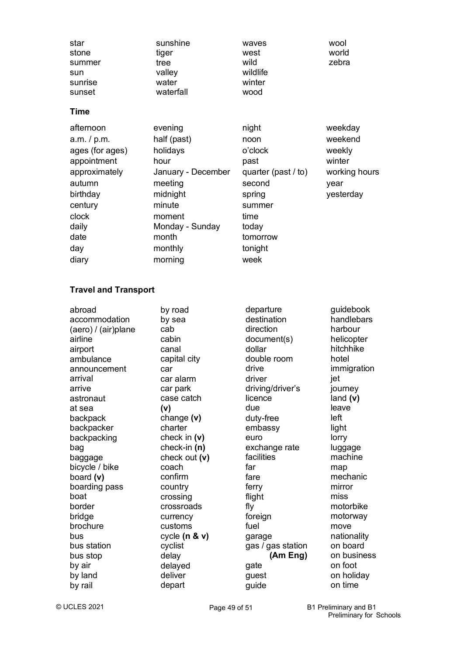| star    | sunshine  | waves    | wool  |
|---------|-----------|----------|-------|
| stone   | tiger     | west     | world |
| summer  | tree      | wild     | zebra |
| sun     | valley    | wildlife |       |
| sunrise | water     | winter   |       |
| sunset  | waterfall | wood     |       |

### **Time**

| afternoon       | evening            | night               | weekday       |
|-----------------|--------------------|---------------------|---------------|
| a.m. / p.m.     | half (past)        | noon                | weekend       |
| ages (for ages) | holidays           | o'clock             | weekly        |
| appointment     | hour               | past                | winter        |
| approximately   | January - December | quarter (past / to) | working hours |
| autumn          | meeting            | second              | year          |
| birthday        | midnight           | spring              | yesterday     |
| century         | minute             | summer              |               |
| clock           | moment             | time                |               |
| daily           | Monday - Sunday    | today               |               |
| date            | month              | tomorrow            |               |
| day             | monthly            | tonight             |               |
| diary           | morning            | week                |               |

### **Travel and Transport**

| abroad              | by road         | departure         | guidebook   |
|---------------------|-----------------|-------------------|-------------|
| accommodation       | by sea          | destination       | handlebars  |
| (aero) / (air)plane | cab             | direction         | harbour     |
| airline             | cabin           | document(s)       | helicopter  |
| airport             | canal           | dollar            | hitchhike   |
| ambulance           | capital city    | double room       | hotel       |
| announcement        | car             | drive             | immigration |
| arrival             | car alarm       | driver            | jet         |
| arrive              | car park        | driving/driver's  | journey     |
| astronaut           | case catch      | licence           | land (v)    |
| at sea              | (v)             | due               | leave       |
| backpack            | change $(v)$    | duty-free         | left        |
| backpacker          | charter         | embassy           | light       |
| backpacking         | check in $(v)$  | euro              | lorry       |
| bag                 | check-in $(n)$  | exchange rate     | luggage     |
| baggage             | check out (v)   | facilities        | machine     |
| bicycle / bike      | coach           | far               | map         |
| board (v)           | confirm         | fare              | mechanic    |
| boarding pass       | country         | ferry             | mirror      |
| boat                | crossing        | flight            | miss        |
| border              | crossroads      | fly               | motorbike   |
| bridge              | currency        | foreign           | motorway    |
| brochure            | customs         | fuel              | move        |
| bus                 | cycle $(n & v)$ | garage            | nationality |
| bus station         | cyclist         | gas / gas station | on board    |
| bus stop            | delay           | (Am Eng)          | on business |
| by air              | delayed         | gate              | on foot     |
| by land             | deliver         | guest             | on holiday  |
| by rail             | depart          | guide             | on time     |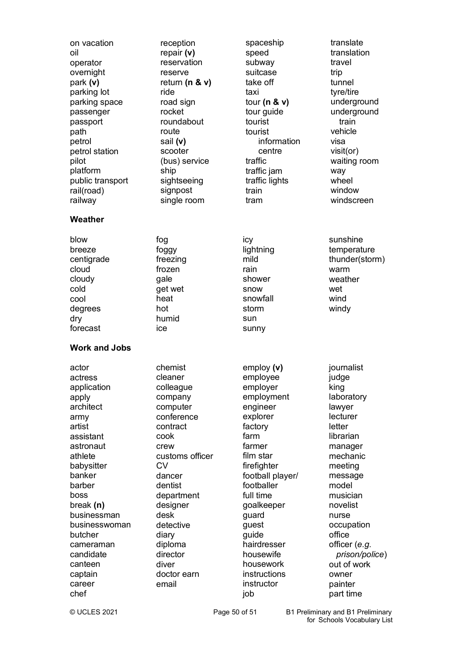| on vacation<br>oil<br>operator<br>overnight<br>park (v)<br>parking lot<br>parking space<br>passenger<br>passport<br>path<br>petrol<br>petrol station<br>pilot<br>platform<br>public transport<br>rail(road)<br>railway | reception<br>repair $(v)$<br>reservation<br>reserve<br>return ( $n$ & $v$ )<br>ride<br>road sign<br>rocket<br>roundabout<br>route<br>sail (v)<br>scooter<br>(bus) service<br>ship<br>sightseeing<br>signpost<br>single room | spaceship<br>speed<br>subway<br>suitcase<br>take off<br>taxi<br>tour ( $n \& v$ )<br>tour guide<br>tourist<br>tourist<br>information<br>centre<br>traffic<br>traffic jam<br>traffic lights<br>train<br>tram | translate<br>translation<br>travel<br>trip<br>tunnel<br>tyre/tire<br>underground<br>underground<br>train<br>vehicle<br>visa<br>visit(or)<br>waiting room<br>way<br>wheel<br>window<br>windscreen |
|------------------------------------------------------------------------------------------------------------------------------------------------------------------------------------------------------------------------|-----------------------------------------------------------------------------------------------------------------------------------------------------------------------------------------------------------------------------|-------------------------------------------------------------------------------------------------------------------------------------------------------------------------------------------------------------|--------------------------------------------------------------------------------------------------------------------------------------------------------------------------------------------------|
| Weather                                                                                                                                                                                                                |                                                                                                                                                                                                                             |                                                                                                                                                                                                             |                                                                                                                                                                                                  |
| blow<br>breeze<br>centigrade<br>cloud<br>cloudy<br>cold<br>cool<br>degrees<br>dry<br>forecast                                                                                                                          | fog<br>foggy<br>freezing<br>frozen<br>gale<br>get wet<br>heat<br>hot<br>humid<br>ice                                                                                                                                        | icy<br>lightning<br>mild<br>rain<br>shower<br>snow<br>snowfall<br>storm<br>sun<br>sunny                                                                                                                     | sunshine<br>temperature<br>thunder(storm)<br>warm<br>weather<br>wet<br>wind<br>windy                                                                                                             |
| <b>Work and Jobs</b>                                                                                                                                                                                                   |                                                                                                                                                                                                                             |                                                                                                                                                                                                             |                                                                                                                                                                                                  |
| actress<br>application<br>apply<br>architect<br>army<br>artist<br>assistant<br>astronaut<br>athlete<br>babysitter<br>banker<br>barber<br>boss                                                                          | cleaner<br>colleague<br>company<br>computer<br>conference<br>contract<br>cook<br>crew<br>customs officer<br><b>CV</b><br>dancer<br>dentist<br>department                                                                    | employee<br>employer<br>employment<br>engineer<br>explorer<br>factory<br>farm<br>farmer<br>film star<br>firefighter<br>football player/<br>footballer<br>full time                                          | judge<br>king<br>laboratory<br>lawyer<br>lecturer<br>letter<br>librarian<br>manager<br>mechanic<br>meeting<br>message<br>model<br>musician                                                       |
| break $(n)$<br>businessman<br>businesswoman<br>butcher<br>cameraman<br>candidate<br>canteen<br>captain<br>career<br>chef                                                                                               | designer<br>desk<br>detective<br>diary<br>diploma<br>director<br>diver<br>doctor earn<br>email                                                                                                                              | goalkeeper<br>guard<br>guest<br>guide<br>hairdresser<br>housewife<br>housework<br>instructions<br>instructor<br>job                                                                                         | novelist<br>nurse<br>occupation<br>office<br>officer (e.g.<br>prison/police)<br>out of work<br>owner<br>painter<br>part time                                                                     |